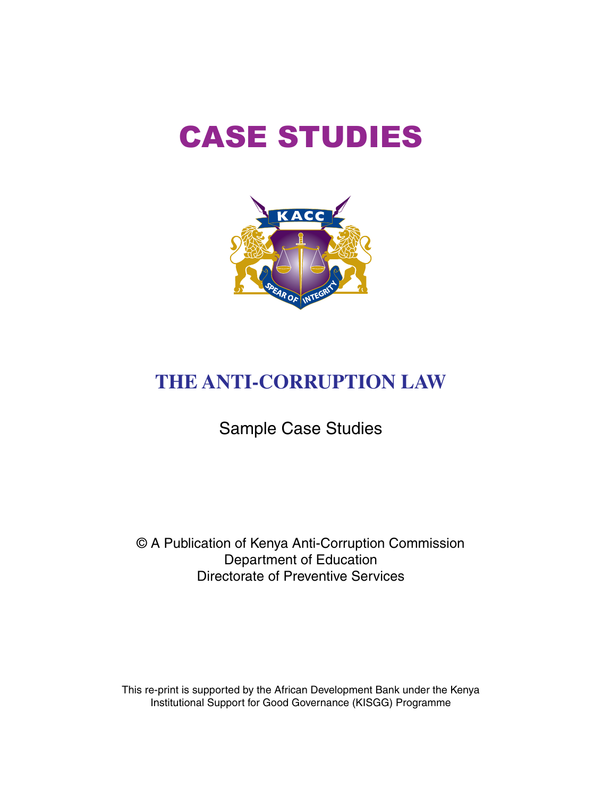



# **THE ANTI-CORRUPTION LAW**

# Sample Case Studies

© A Publication of Kenya Anti-Corruption Commission Department of Education Directorate of Preventive Services

This re-print is supported by the African Development Bank under the Kenya Institutional Support for Good Governance (KISGG) Programme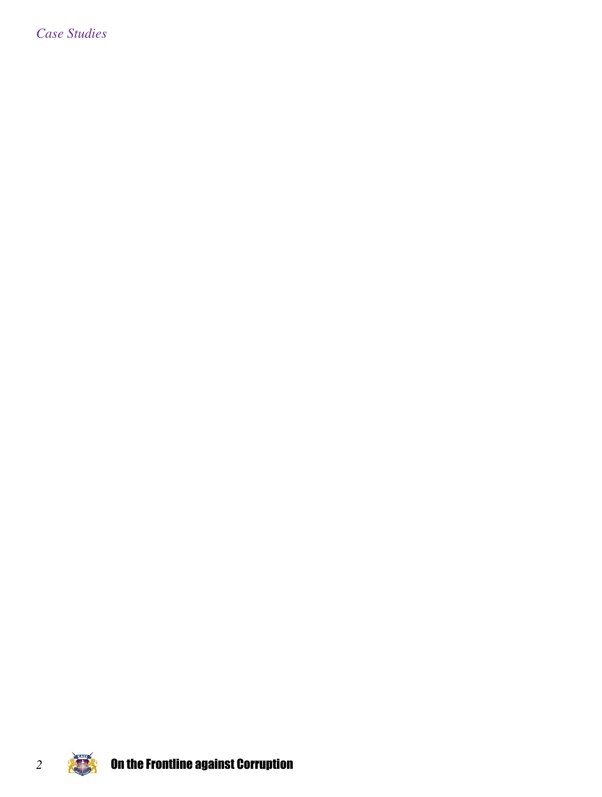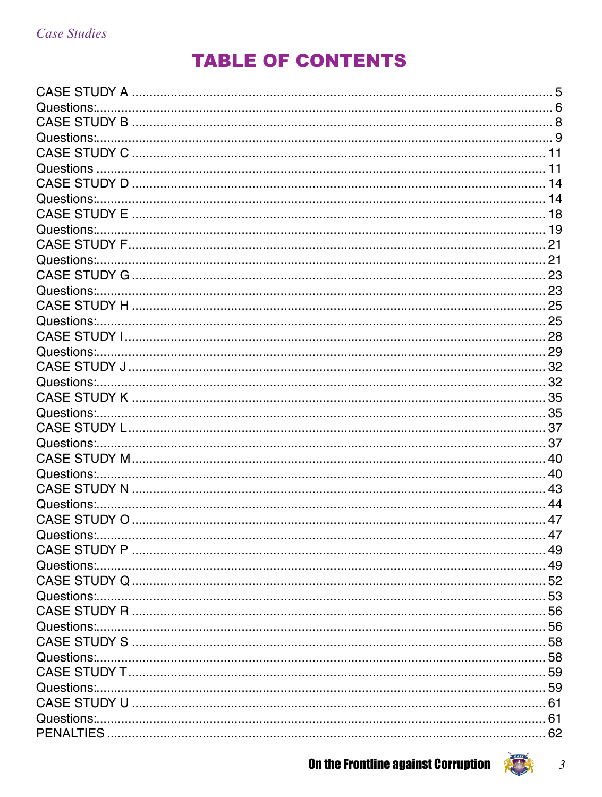# **TABLE OF CONTENTS**

| Questions:  |    |
|-------------|----|
|             |    |
|             |    |
|             |    |
|             |    |
|             |    |
|             |    |
|             |    |
|             |    |
|             |    |
|             |    |
|             |    |
|             |    |
|             |    |
|             |    |
|             |    |
|             |    |
|             |    |
|             |    |
|             |    |
|             |    |
|             |    |
|             |    |
|             |    |
|             |    |
|             |    |
|             |    |
|             |    |
| Questions:. |    |
|             | 49 |
|             |    |
|             |    |
|             |    |
|             |    |
|             |    |
|             |    |
|             |    |
|             |    |
|             |    |
|             |    |
|             |    |
|             |    |

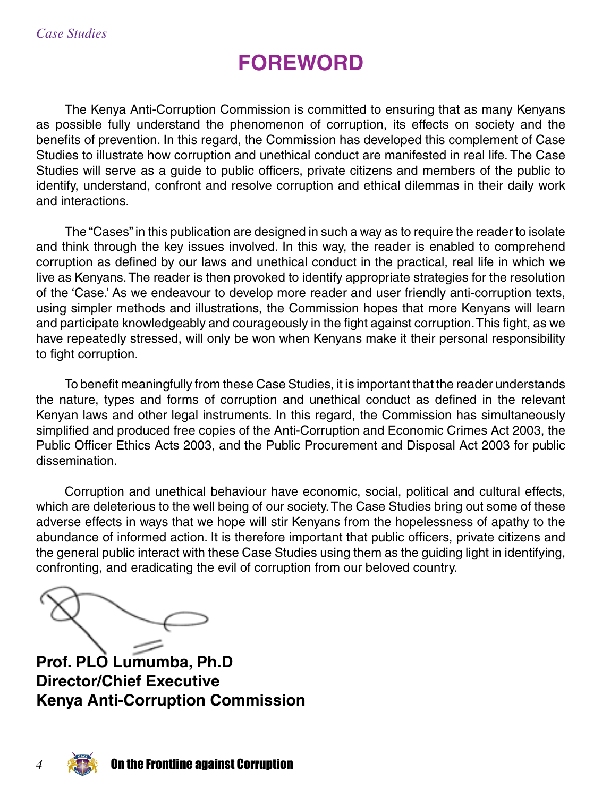# **FOREWORD**

The Kenya Anti-Corruption Commission is committed to ensuring that as many Kenyans as possible fully understand the phenomenon of corruption, its effects on society and the benefits of prevention. In this regard, the Commission has developed this complement of Case Studies to illustrate how corruption and unethical conduct are manifested in real life. The Case Studies will serve as a guide to public officers, private citizens and members of the public to identify, understand, confront and resolve corruption and ethical dilemmas in their daily work and interactions.

The "Cases" in this publication are designed in such a way as to require the reader to isolate and think through the key issues involved. In this way, the reader is enabled to comprehend corruption as defined by our laws and unethical conduct in the practical, real life in which we live as Kenyans. The reader is then provoked to identify appropriate strategies for the resolution of the 'Case.' As we endeavour to develop more reader and user friendly anti-corruption texts, using simpler methods and illustrations, the Commission hopes that more Kenyans will learn and participate knowledgeably and courageously in the fight against corruption. This fight, as we have repeatedly stressed, will only be won when Kenyans make it their personal responsibility to fight corruption.

To benefit meaningfully from these Case Studies, it is important that the reader understands the nature, types and forms of corruption and unethical conduct as defined in the relevant Kenyan laws and other legal instruments. In this regard, the Commission has simultaneously simplified and produced free copies of the Anti-Corruption and Economic Crimes Act 2003, the Public Officer Ethics Acts 2003, and the Public Procurement and Disposal Act 2003 for public dissemination.

Corruption and unethical behaviour have economic, social, political and cultural effects, which are deleterious to the well being of our society. The Case Studies bring out some of these adverse effects in ways that we hope will stir Kenyans from the hopelessness of apathy to the abundance of informed action. It is therefore important that public officers, private citizens and the general public interact with these Case Studies using them as the guiding light in identifying, confronting, and eradicating the evil of corruption from our beloved country.

**Prof. PLO Lumumba, Ph.D Director/Chief Executive Kenya Anti-Corruption Commission**

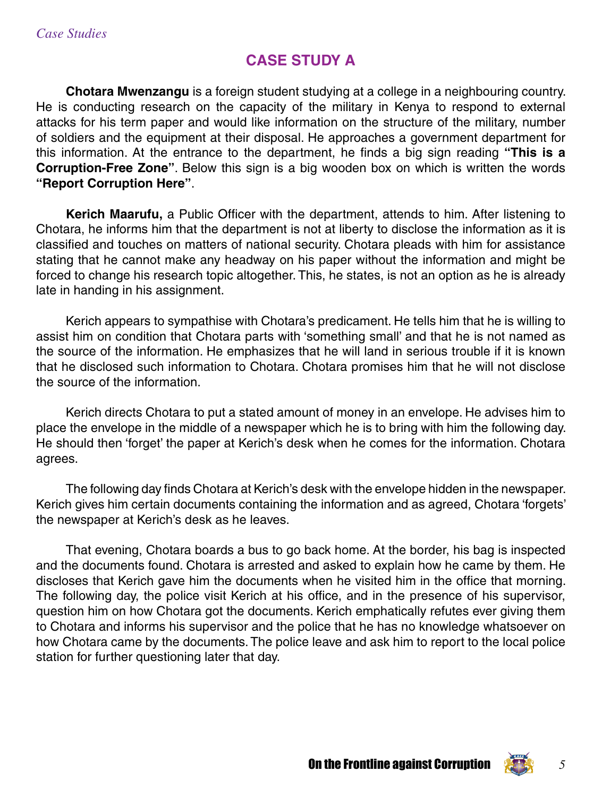# **CASE STUDY A**

**Chotara Mwenzangu** is a foreign student studying at a college in a neighbouring country. He is conducting research on the capacity of the military in Kenya to respond to external attacks for his term paper and would like information on the structure of the military, number of soldiers and the equipment at their disposal. He approaches a government department for this information. At the entrance to the department, he finds a big sign reading **"This is a Corruption-Free Zone"**. Below this sign is a big wooden box on which is written the words **"Report Corruption Here"**.

**Kerich Maarufu,** a Public Officer with the department, attends to him. After listening to Chotara, he informs him that the department is not at liberty to disclose the information as it is classified and touches on matters of national security. Chotara pleads with him for assistance stating that he cannot make any headway on his paper without the information and might be forced to change his research topic altogether. This, he states, is not an option as he is already late in handing in his assignment.

Kerich appears to sympathise with Chotara's predicament. He tells him that he is willing to assist him on condition that Chotara parts with 'something small' and that he is not named as the source of the information. He emphasizes that he will land in serious trouble if it is known that he disclosed such information to Chotara. Chotara promises him that he will not disclose the source of the information.

Kerich directs Chotara to put a stated amount of money in an envelope. He advises him to place the envelope in the middle of a newspaper which he is to bring with him the following day. He should then 'forget' the paper at Kerich's desk when he comes for the information. Chotara agrees.

The following day finds Chotara at Kerich's desk with the envelope hidden in the newspaper. Kerich gives him certain documents containing the information and as agreed, Chotara 'forgets' the newspaper at Kerich's desk as he leaves.

That evening, Chotara boards a bus to go back home. At the border, his bag is inspected and the documents found. Chotara is arrested and asked to explain how he came by them. He discloses that Kerich gave him the documents when he visited him in the office that morning. The following day, the police visit Kerich at his office, and in the presence of his supervisor, question him on how Chotara got the documents. Kerich emphatically refutes ever giving them to Chotara and informs his supervisor and the police that he has no knowledge whatsoever on how Chotara came by the documents. The police leave and ask him to report to the local police station for further questioning later that day.

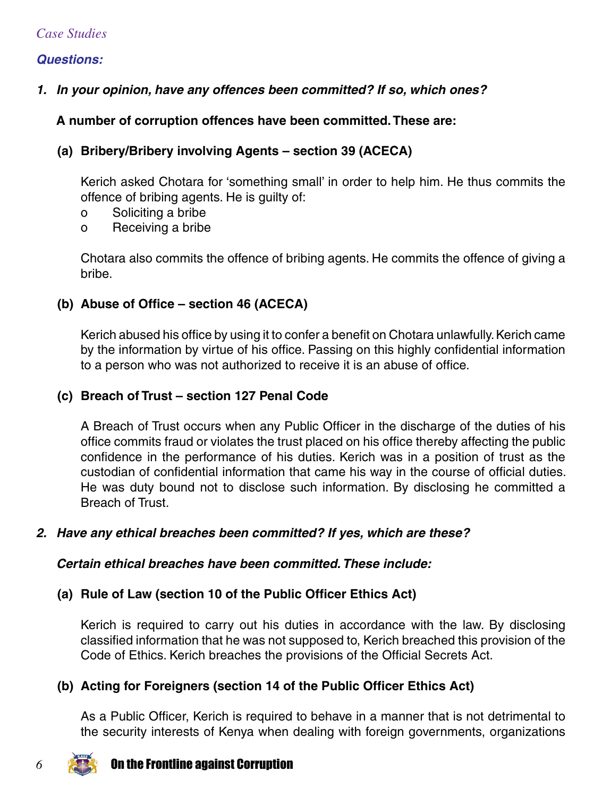# *Questions:*

# *1. In your opinion, have any offences been committed? If so, which ones?*

#### **A number of corruption offences have been committed. These are:**

# **(a) Bribery/Bribery involving Agents – section 39 (ACECA)**

 Kerich asked Chotara for 'something small' in order to help him. He thus commits the offence of bribing agents. He is guilty of:

- o Soliciting a bribe
- o Receiving a bribe

 Chotara also commits the offence of bribing agents. He commits the offence of giving a bribe.

#### **(b) Abuse of Office – section 46 (ACECA)**

 Kerich abused his office by using it to confer a benefit on Chotara unlawfully. Kerich came by the information by virtue of his office. Passing on this highly confidential information to a person who was not authorized to receive it is an abuse of office.

#### **(c) Breach of Trust – section 127 Penal Code**

 A Breach of Trust occurs when any Public Officer in the discharge of the duties of his office commits fraud or violates the trust placed on his office thereby affecting the public confidence in the performance of his duties. Kerich was in a position of trust as the custodian of confidential information that came his way in the course of official duties. He was duty bound not to disclose such information. By disclosing he committed a Breach of Trust.

#### *2. Have any ethical breaches been committed? If yes, which are these?*

*Certain ethical breaches have been committed. These include:*

#### **(a) Rule of Law (section 10 of the Public Officer Ethics Act)**

 Kerich is required to carry out his duties in accordance with the law. By disclosing classified information that he was not supposed to, Kerich breached this provision of the Code of Ethics. Kerich breaches the provisions of the Official Secrets Act.

#### **(b) Acting for Foreigners (section 14 of the Public Officer Ethics Act)**

 As a Public Officer, Kerich is required to behave in a manner that is not detrimental to the security interests of Kenya when dealing with foreign governments, organizations

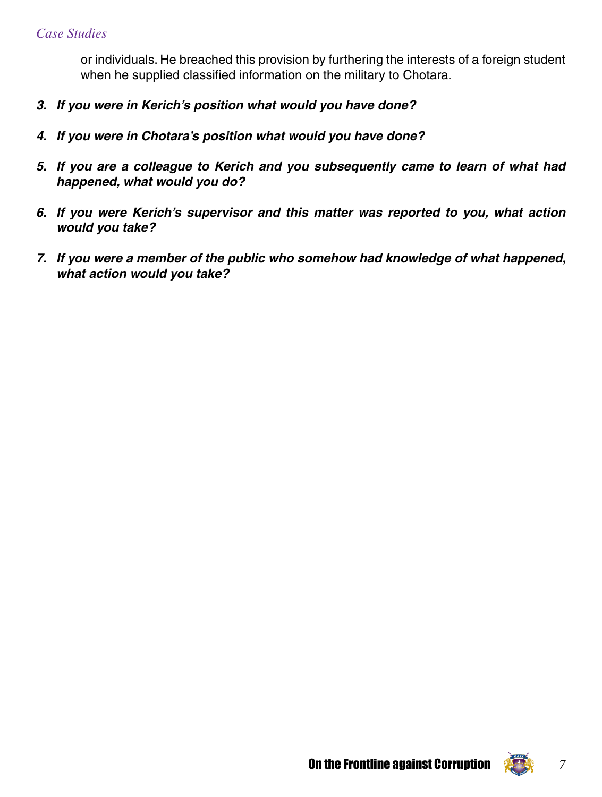or individuals. He breached this provision by furthering the interests of a foreign student when he supplied classified information on the military to Chotara.

- *3. If you were in Kerich's position what would you have done?*
- *4. If you were in Chotara's position what would you have done?*
- *5. If you are a colleague to Kerich and you subsequently came to learn of what had happened, what would you do?*
- *6. If you were Kerich's supervisor and this matter was reported to you, what action would you take?*
- *7. If you were a member of the public who somehow had knowledge of what happened, what action would you take?*

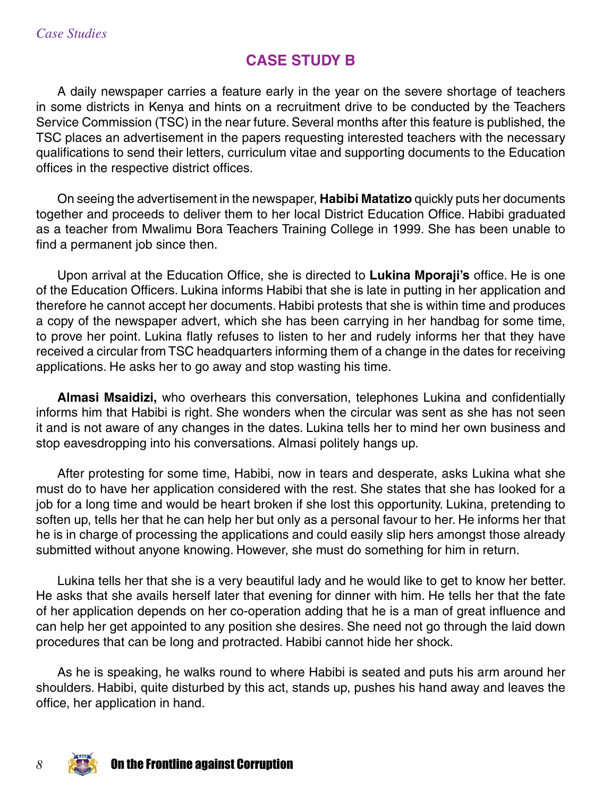# **CASE STUDY B**

A daily newspaper carries a feature early in the year on the severe shortage of teachers in some districts in Kenya and hints on a recruitment drive to be conducted by the Teachers Service Commission (TSC) in the near future. Several months after this feature is published, the TSC places an advertisement in the papers requesting interested teachers with the necessary qualifications to send their letters, curriculum vitae and supporting documents to the Education offices in the respective district offices.

On seeing the advertisement in the newspaper, **Habibi Matatizo** quickly puts her documents together and proceeds to deliver them to her local District Education Office. Habibi graduated as a teacher from Mwalimu Bora Teachers Training College in 1999. She has been unable to find a permanent job since then.

Upon arrival at the Education Office, she is directed to **Lukina Mporaji's** office. He is one of the Education Officers. Lukina informs Habibi that she is late in putting in her application and therefore he cannot accept her documents. Habibi protests that she is within time and produces a copy of the newspaper advert, which she has been carrying in her handbag for some time, to prove her point. Lukina flatly refuses to listen to her and rudely informs her that they have received a circular from TSC headquarters informing them of a change in the dates for receiving applications. He asks her to go away and stop wasting his time.

**Almasi Msaidizi,** who overhears this conversation, telephones Lukina and confidentially informs him that Habibi is right. She wonders when the circular was sent as she has not seen it and is not aware of any changes in the dates. Lukina tells her to mind her own business and stop eavesdropping into his conversations. Almasi politely hangs up.

After protesting for some time, Habibi, now in tears and desperate, asks Lukina what she must do to have her application considered with the rest. She states that she has looked for a job for a long time and would be heart broken if she lost this opportunity. Lukina, pretending to soften up, tells her that he can help her but only as a personal favour to her. He informs her that he is in charge of processing the applications and could easily slip hers amongst those already submitted without anyone knowing. However, she must do something for him in return.

Lukina tells her that she is a very beautiful lady and he would like to get to know her better. He asks that she avails herself later that evening for dinner with him. He tells her that the fate of her application depends on her co-operation adding that he is a man of great influence and can help her get appointed to any position she desires. She need not go through the laid down procedures that can be long and protracted. Habibi cannot hide her shock.

As he is speaking, he walks round to where Habibi is seated and puts his arm around her shoulders. Habibi, quite disturbed by this act, stands up, pushes his hand away and leaves the office, her application in hand.

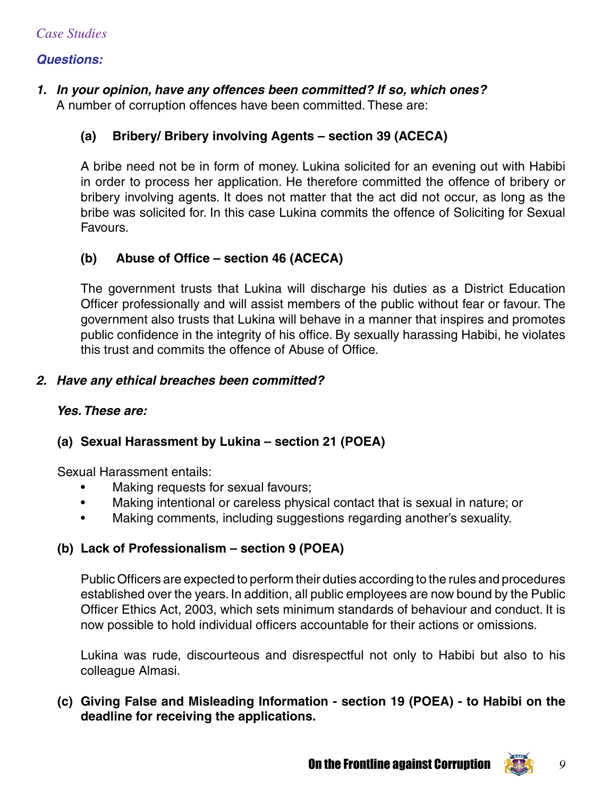# *Questions:*

*1. In your opinion, have any offences been committed? If so, which ones?*

A number of corruption offences have been committed. These are:

# **(a) Bribery/ Bribery involving Agents – section 39 (ACECA)**

 A bribe need not be in form of money. Lukina solicited for an evening out with Habibi in order to process her application. He therefore committed the offence of bribery or bribery involving agents. It does not matter that the act did not occur, as long as the bribe was solicited for. In this case Lukina commits the offence of Soliciting for Sexual Favours.

# **(b) Abuse of Office – section 46 (ACECA)**

 The government trusts that Lukina will discharge his duties as a District Education Officer professionally and will assist members of the public without fear or favour. The government also trusts that Lukina will behave in a manner that inspires and promotes public confidence in the integrity of his office. By sexually harassing Habibi, he violates this trust and commits the offence of Abuse of Office.

# *2. Have any ethical breaches been committed?*

# *Yes. These are:*

# **(a) Sexual Harassment by Lukina – section 21 (POEA)**

Sexual Harassment entails:

- Making requests for sexual favours;
- Making intentional or careless physical contact that is sexual in nature; or
- Making comments, including suggestions regarding another's sexuality.

# **(b) Lack of Professionalism – section 9 (POEA)**

 Public Officers are expected to perform their duties according to the rules and procedures established over the years. In addition, all public employees are now bound by the Public Officer Ethics Act, 2003, which sets minimum standards of behaviour and conduct. It is now possible to hold individual officers accountable for their actions or omissions.

 Lukina was rude, discourteous and disrespectful not only to Habibi but also to his colleague Almasi.

# **(c) Giving False and Misleading Information - section 19 (POEA) - to Habibi on the deadline for receiving the applications.**

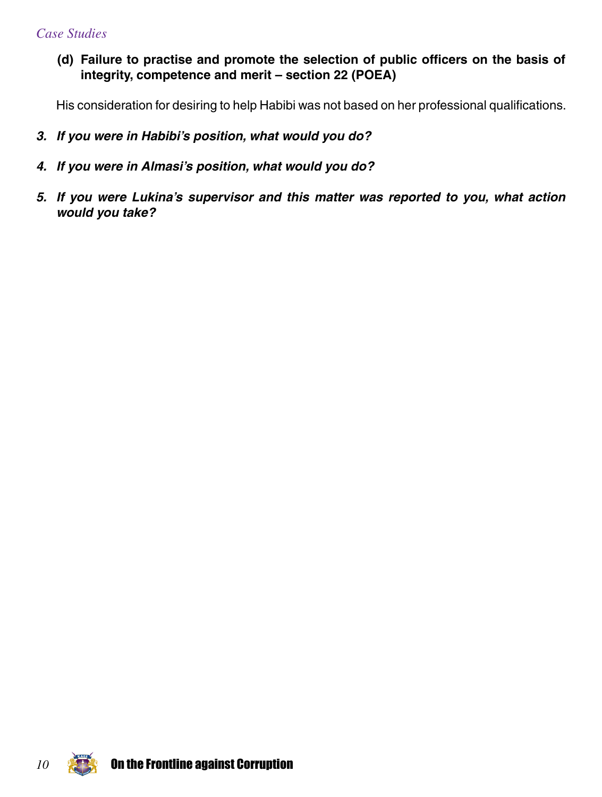**(d) Failure to practise and promote the selection of public officers on the basis of integrity, competence and merit – section 22 (POEA)**

His consideration for desiring to help Habibi was not based on her professional qualifications.

- *3. If you were in Habibi's position, what would you do?*
- *4. If you were in Almasi's position, what would you do?*
- *5. If you were Lukina's supervisor and this matter was reported to you, what action would you take?*

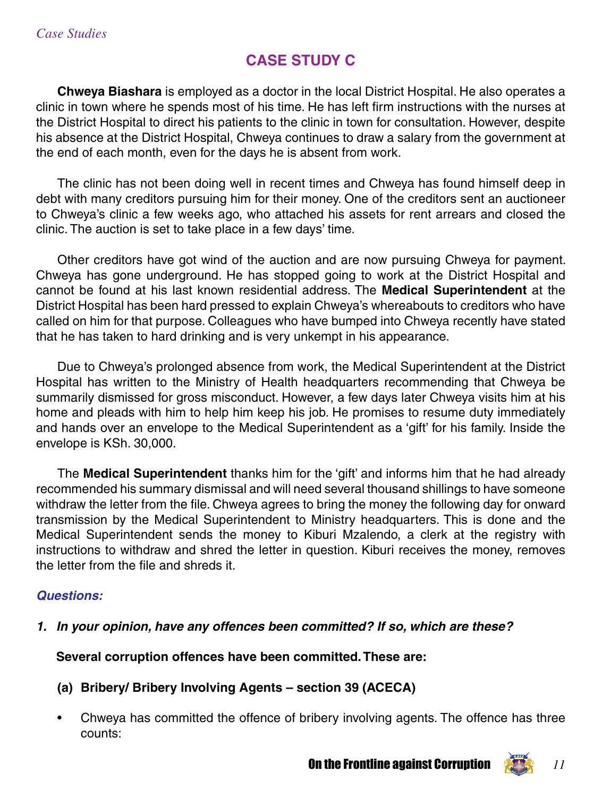# **CASE STUDY C**

**Chweya Biashara** is employed as a doctor in the local District Hospital. He also operates a clinic in town where he spends most of his time. He has left firm instructions with the nurses at the District Hospital to direct his patients to the clinic in town for consultation. However, despite his absence at the District Hospital, Chweya continues to draw a salary from the government at the end of each month, even for the days he is absent from work.

The clinic has not been doing well in recent times and Chweya has found himself deep in debt with many creditors pursuing him for their money. One of the creditors sent an auctioneer to Chweya's clinic a few weeks ago, who attached his assets for rent arrears and closed the clinic. The auction is set to take place in a few days' time.

Other creditors have got wind of the auction and are now pursuing Chweya for payment. Chweya has gone underground. He has stopped going to work at the District Hospital and cannot be found at his last known residential address. The **Medical Superintendent** at the District Hospital has been hard pressed to explain Chweya's whereabouts to creditors who have called on him for that purpose. Colleagues who have bumped into Chweya recently have stated that he has taken to hard drinking and is very unkempt in his appearance.

Due to Chweya's prolonged absence from work, the Medical Superintendent at the District Hospital has written to the Ministry of Health headquarters recommending that Chweya be summarily dismissed for gross misconduct. However, a few days later Chweya visits him at his home and pleads with him to help him keep his job. He promises to resume duty immediately and hands over an envelope to the Medical Superintendent as a 'gift' for his family. Inside the envelope is KSh. 30,000.

The **Medical Superintendent** thanks him for the 'gift' and informs him that he had already recommended his summary dismissal and will need several thousand shillings to have someone withdraw the letter from the file. Chweya agrees to bring the money the following day for onward transmission by the Medical Superintendent to Ministry headquarters. This is done and the Medical Superintendent sends the money to Kiburi Mzalendo, a clerk at the registry with instructions to withdraw and shred the letter in question. Kiburi receives the money, removes the letter from the file and shreds it.

#### *Questions:*

*1. In your opinion, have any offences been committed? If so, which are these?*

**Several corruption offences have been committed. These are:**

**(a) Bribery/ Bribery Involving Agents – section 39 (ACECA)**

Chweya has committed the offence of bribery involving agents. The offence has three counts:

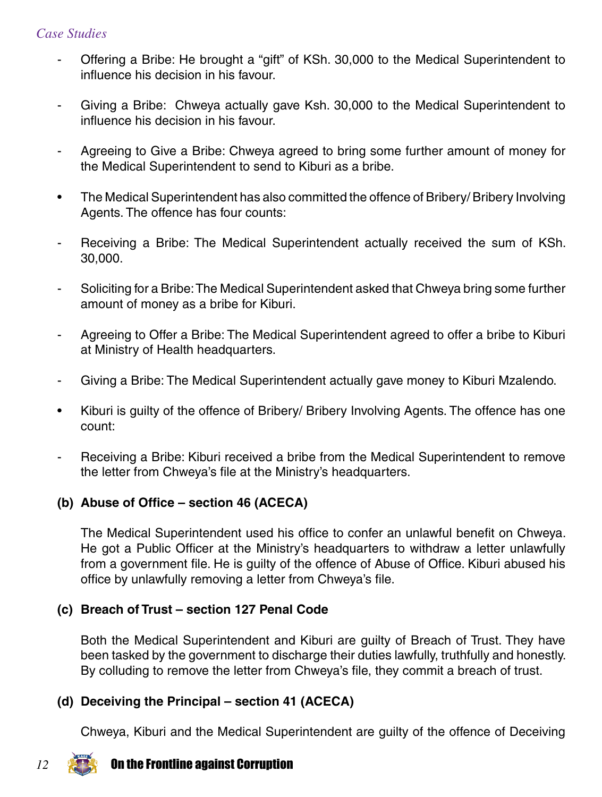- Offering a Bribe: He brought a "gift" of KSh. 30,000 to the Medical Superintendent to influence his decision in his favour.
- Giving a Bribe: Chweya actually gave Ksh. 30,000 to the Medical Superintendent to influence his decision in his favour.
- Agreeing to Give a Bribe: Chweya agreed to bring some further amount of money for the Medical Superintendent to send to Kiburi as a bribe.
- The Medical Superintendent has also committed the offence of Bribery/ Bribery Involving Agents. The offence has four counts:
- Receiving a Bribe: The Medical Superintendent actually received the sum of KSh. 30,000.
- Soliciting for a Bribe: The Medical Superintendent asked that Chweya bring some further amount of money as a bribe for Kiburi.
- Agreeing to Offer a Bribe: The Medical Superintendent agreed to offer a bribe to Kiburi at Ministry of Health headquarters.
- Giving a Bribe: The Medical Superintendent actually gave money to Kiburi Mzalendo.
- Kiburi is quilty of the offence of Bribery/ Bribery Involving Agents. The offence has one count:
- Receiving a Bribe: Kiburi received a bribe from the Medical Superintendent to remove the letter from Chweya's file at the Ministry's headquarters.

# **(b) Abuse of Office – section 46 (ACECA)**

 The Medical Superintendent used his office to confer an unlawful benefit on Chweya. He got a Public Officer at the Ministry's headquarters to withdraw a letter unlawfully from a government file. He is guilty of the offence of Abuse of Office. Kiburi abused his office by unlawfully removing a letter from Chweya's file.

#### **(c) Breach of Trust – section 127 Penal Code**

 Both the Medical Superintendent and Kiburi are guilty of Breach of Trust. They have been tasked by the government to discharge their duties lawfully, truthfully and honestly. By colluding to remove the letter from Chweya's file, they commit a breach of trust.

#### **(d) Deceiving the Principal – section 41 (ACECA)**

Chweya, Kiburi and the Medical Superintendent are guilty of the offence of Deceiving

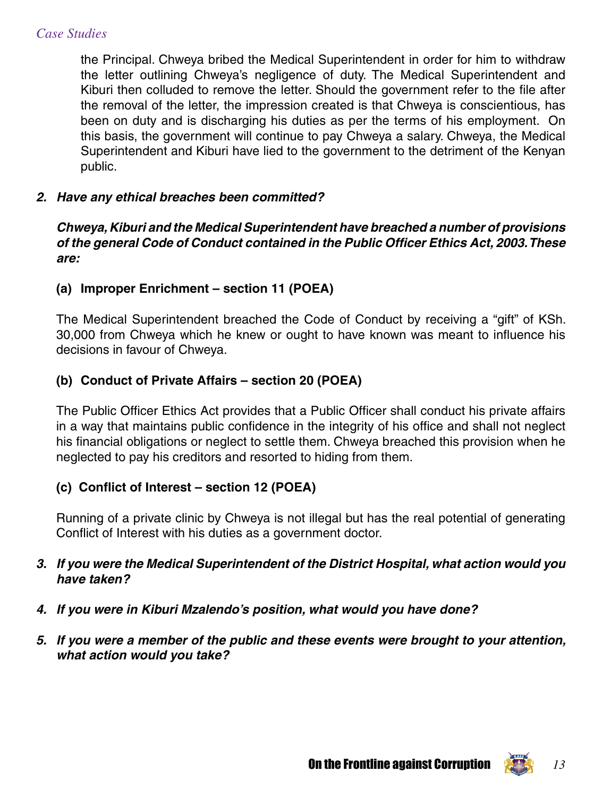the Principal. Chweya bribed the Medical Superintendent in order for him to withdraw the letter outlining Chweya's negligence of duty. The Medical Superintendent and Kiburi then colluded to remove the letter. Should the government refer to the file after the removal of the letter, the impression created is that Chweya is conscientious, has been on duty and is discharging his duties as per the terms of his employment. On this basis, the government will continue to pay Chweya a salary. Chweya, the Medical Superintendent and Kiburi have lied to the government to the detriment of the Kenyan public.

# *2. Have any ethical breaches been committed?*

#### *Chweya, Kiburi and the Medical Superintendent have breached a number of provisions of the general Code of Conduct contained in the Public Officer Ethics Act, 2003. These are:*

# **(a) Improper Enrichment – section 11 (POEA)**

The Medical Superintendent breached the Code of Conduct by receiving a "gift" of KSh. 30,000 from Chweya which he knew or ought to have known was meant to influence his decisions in favour of Chweya.

# **(b) Conduct of Private Affairs – section 20 (POEA)**

The Public Officer Ethics Act provides that a Public Officer shall conduct his private affairs in a way that maintains public confidence in the integrity of his office and shall not neglect his financial obligations or neglect to settle them. Chweya breached this provision when he neglected to pay his creditors and resorted to hiding from them.

# **(c) Conflict of Interest – section 12 (POEA)**

Running of a private clinic by Chweya is not illegal but has the real potential of generating Conflict of Interest with his duties as a government doctor.

### *3. If you were the Medical Superintendent of the District Hospital, what action would you have taken?*

- *4. If you were in Kiburi Mzalendo's position, what would you have done?*
- *5. If you were a member of the public and these events were brought to your attention, what action would you take?*

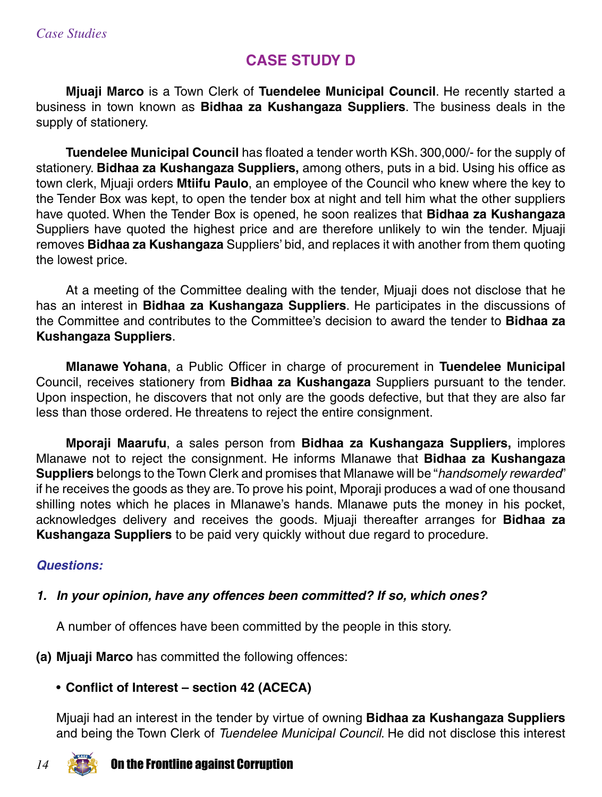# **CASE STUDY D**

**Mjuaji Marco** is a Town Clerk of **Tuendelee Municipal Council**. He recently started a business in town known as **Bidhaa za Kushangaza Suppliers**. The business deals in the supply of stationery.

**Tuendelee Municipal Council** has floated a tender worth KSh. 300,000/- for the supply of stationery. **Bidhaa za Kushangaza Suppliers,** among others, puts in a bid. Using his office as town clerk, Mjuaji orders **Mtiifu Paulo**, an employee of the Council who knew where the key to the Tender Box was kept, to open the tender box at night and tell him what the other suppliers have quoted. When the Tender Box is opened, he soon realizes that **Bidhaa za Kushangaza** Suppliers have quoted the highest price and are therefore unlikely to win the tender. Mjuaji removes **Bidhaa za Kushangaza** Suppliers' bid, and replaces it with another from them quoting the lowest price.

At a meeting of the Committee dealing with the tender, Mjuaji does not disclose that he has an interest in **Bidhaa za Kushangaza Suppliers**. He participates in the discussions of the Committee and contributes to the Committee's decision to award the tender to **Bidhaa za Kushangaza Suppliers**.

**Mlanawe Yohana**, a Public Officer in charge of procurement in **Tuendelee Municipal** Council, receives stationery from **Bidhaa za Kushangaza** Suppliers pursuant to the tender. Upon inspection, he discovers that not only are the goods defective, but that they are also far less than those ordered. He threatens to reject the entire consignment.

**Mporaji Maarufu**, a sales person from **Bidhaa za Kushangaza Suppliers,** implores Mlanawe not to reject the consignment. He informs Mlanawe that **Bidhaa za Kushangaza Suppliers** belongs to the Town Clerk and promises that Mlanawe will be "*handsomely rewarded*" if he receives the goods as they are. To prove his point, Mporaji produces a wad of one thousand shilling notes which he places in Mlanawe's hands. Mlanawe puts the money in his pocket, acknowledges delivery and receives the goods. Mjuaji thereafter arranges for **Bidhaa za Kushangaza Suppliers** to be paid very quickly without due regard to procedure.

#### *Questions:*

#### *1. In your opinion, have any offences been committed? If so, which ones?*

A number of offences have been committed by the people in this story.

**(a) Mjuaji Marco** has committed the following offences:

#### • **Conflict of Interest – section 42 (ACECA)**

Mjuaji had an interest in the tender by virtue of owning **Bidhaa za Kushangaza Suppliers** and being the Town Clerk of *Tuendelee Municipal Council*. He did not disclose this interest

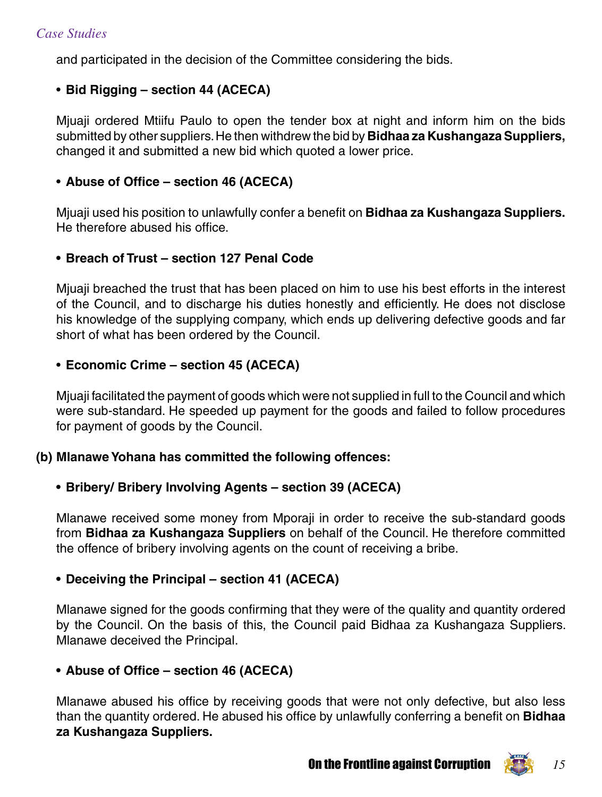and participated in the decision of the Committee considering the bids.

# • **Bid Rigging – section 44 (ACECA)**

Mjuaji ordered Mtiifu Paulo to open the tender box at night and inform him on the bids submitted by other suppliers. He then withdrew the bid by **Bidhaa za Kushangaza Suppliers,** changed it and submitted a new bid which quoted a lower price.

# • **Abuse of Office – section 46 (ACECA)**

Mjuaji used his position to unlawfully confer a benefit on **Bidhaa za Kushangaza Suppliers.** He therefore abused his office.

# **• Breach of Trust – section 127 Penal Code**

Mjuaji breached the trust that has been placed on him to use his best efforts in the interest of the Council, and to discharge his duties honestly and efficiently. He does not disclose his knowledge of the supplying company, which ends up delivering defective goods and far short of what has been ordered by the Council.

### • **Economic Crime – section 45 (ACECA)**

Mjuaji facilitated the payment of goods which were not supplied in full to the Council and which were sub-standard. He speeded up payment for the goods and failed to follow procedures for payment of goods by the Council.

#### **(b) Mlanawe Yohana has committed the following offences:**

# **• Bribery/ Bribery Involving Agents – section 39 (ACECA)**

Mlanawe received some money from Mporaji in order to receive the sub-standard goods from **Bidhaa za Kushangaza Suppliers** on behalf of the Council. He therefore committed the offence of bribery involving agents on the count of receiving a bribe.

# **• Deceiving the Principal – section 41 (ACECA)**

Mlanawe signed for the goods confirming that they were of the quality and quantity ordered by the Council. On the basis of this, the Council paid Bidhaa za Kushangaza Suppliers. Mlanawe deceived the Principal.

#### **• Abuse of Office – section 46 (ACECA)**

Mlanawe abused his office by receiving goods that were not only defective, but also less than the quantity ordered. He abused his office by unlawfully conferring a benefit on **Bidhaa za Kushangaza Suppliers.**

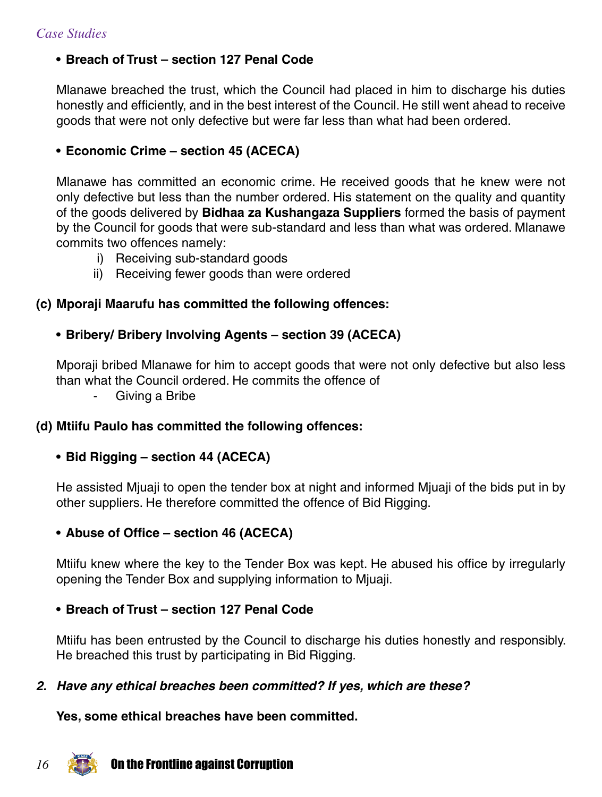### **• Breach of Trust – section 127 Penal Code**

Mlanawe breached the trust, which the Council had placed in him to discharge his duties honestly and efficiently, and in the best interest of the Council. He still went ahead to receive goods that were not only defective but were far less than what had been ordered.

### **• Economic Crime – section 45 (ACECA)**

Mlanawe has committed an economic crime. He received goods that he knew were not only defective but less than the number ordered. His statement on the quality and quantity of the goods delivered by **Bidhaa za Kushangaza Suppliers** formed the basis of payment by the Council for goods that were sub-standard and less than what was ordered. Mlanawe commits two offences namely:

- i) Receiving sub-standard goods
- ii) Receiving fewer goods than were ordered

#### **(c) Mporaji Maarufu has committed the following offences:**

#### **• Bribery/ Bribery Involving Agents – section 39 (ACECA)**

Mporaji bribed Mlanawe for him to accept goods that were not only defective but also less than what the Council ordered. He commits the offence of

- Giving a Bribe

#### **(d) Mtiifu Paulo has committed the following offences:**

#### **• Bid Rigging – section 44 (ACECA)**

He assisted Mjuaji to open the tender box at night and informed Mjuaji of the bids put in by other suppliers. He therefore committed the offence of Bid Rigging.

#### **• Abuse of Office – section 46 (ACECA)**

Mtiifu knew where the key to the Tender Box was kept. He abused his office by irregularly opening the Tender Box and supplying information to Mjuaji.

#### **• Breach of Trust – section 127 Penal Code**

Mtiifu has been entrusted by the Council to discharge his duties honestly and responsibly. He breached this trust by participating in Bid Rigging.

#### *2. Have any ethical breaches been committed? If yes, which are these?*

**Yes, some ethical breaches have been committed.**

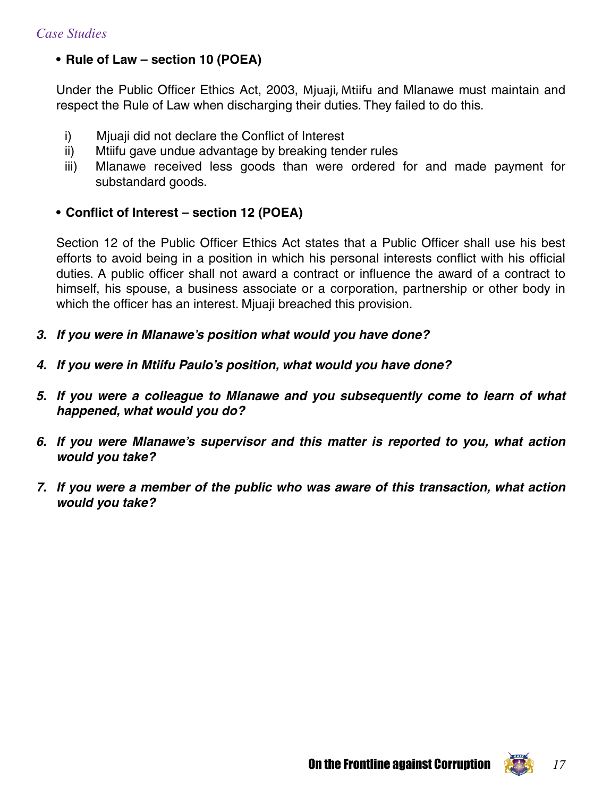### **• Rule of Law – section 10 (POEA)**

Under the Public Officer Ethics Act, 2003, Mjuaji, Mtiifu and Mlanawe must maintain and respect the Rule of Law when discharging their duties. They failed to do this.

- i) Mjuaji did not declare the Conflict of Interest
- ii) Mtiifu gave undue advantage by breaking tender rules
- iii) Mlanawe received less goods than were ordered for and made payment for substandard goods.

### **• Conflict of Interest – section 12 (POEA)**

Section 12 of the Public Officer Ethics Act states that a Public Officer shall use his best efforts to avoid being in a position in which his personal interests conflict with his official duties. A public officer shall not award a contract or influence the award of a contract to himself, his spouse, a business associate or a corporation, partnership or other body in which the officer has an interest. Mjuaji breached this provision.

- *3. If you were in Mlanawe's position what would you have done?*
- *4. If you were in Mtiifu Paulo's position, what would you have done?*
- *5. If you were a colleague to Mlanawe and you subsequently come to learn of what happened, what would you do?*
- *6. If you were Mlanawe's supervisor and this matter is reported to you, what action would you take?*
- *7. If you were a member of the public who was aware of this transaction, what action would you take?*



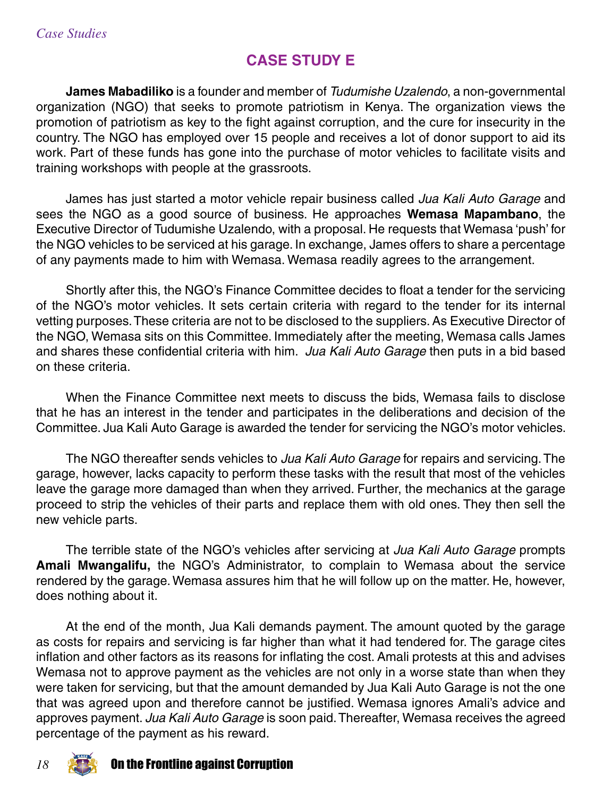# **CASE STUDY E**

**James Mabadiliko** is a founder and member of *Tudumishe Uzalendo*, a non-governmental organization (NGO) that seeks to promote patriotism in Kenya. The organization views the promotion of patriotism as key to the fight against corruption, and the cure for insecurity in the country. The NGO has employed over 15 people and receives a lot of donor support to aid its work. Part of these funds has gone into the purchase of motor vehicles to facilitate visits and training workshops with people at the grassroots.

James has just started a motor vehicle repair business called *Jua Kali Auto Garage* and sees the NGO as a good source of business. He approaches **Wemasa Mapambano**, the Executive Director of Tudumishe Uzalendo, with a proposal. He requests that Wemasa 'push' for the NGO vehicles to be serviced at his garage. In exchange, James offers to share a percentage of any payments made to him with Wemasa. Wemasa readily agrees to the arrangement.

Shortly after this, the NGO's Finance Committee decides to float a tender for the servicing of the NGO's motor vehicles. It sets certain criteria with regard to the tender for its internal vetting purposes. These criteria are not to be disclosed to the suppliers. As Executive Director of the NGO, Wemasa sits on this Committee. Immediately after the meeting, Wemasa calls James and shares these confidential criteria with him. *Jua Kali Auto Garage* then puts in a bid based on these criteria.

When the Finance Committee next meets to discuss the bids, Wemasa fails to disclose that he has an interest in the tender and participates in the deliberations and decision of the Committee. Jua Kali Auto Garage is awarded the tender for servicing the NGO's motor vehicles.

The NGO thereafter sends vehicles to *Jua Kali Auto Garage* for repairs and servicing. The garage, however, lacks capacity to perform these tasks with the result that most of the vehicles leave the garage more damaged than when they arrived. Further, the mechanics at the garage proceed to strip the vehicles of their parts and replace them with old ones. They then sell the new vehicle parts.

The terrible state of the NGO's vehicles after servicing at *Jua Kali Auto Garage* prompts **Amali Mwangalifu,** the NGO's Administrator, to complain to Wemasa about the service rendered by the garage. Wemasa assures him that he will follow up on the matter. He, however, does nothing about it.

At the end of the month, Jua Kali demands payment. The amount quoted by the garage as costs for repairs and servicing is far higher than what it had tendered for. The garage cites inflation and other factors as its reasons for inflating the cost. Amali protests at this and advises Wemasa not to approve payment as the vehicles are not only in a worse state than when they were taken for servicing, but that the amount demanded by Jua Kali Auto Garage is not the one that was agreed upon and therefore cannot be justified. Wemasa ignores Amali's advice and approves payment. *Jua Kali Auto Garage* is soon paid. Thereafter, Wemasa receives the agreed percentage of the payment as his reward.

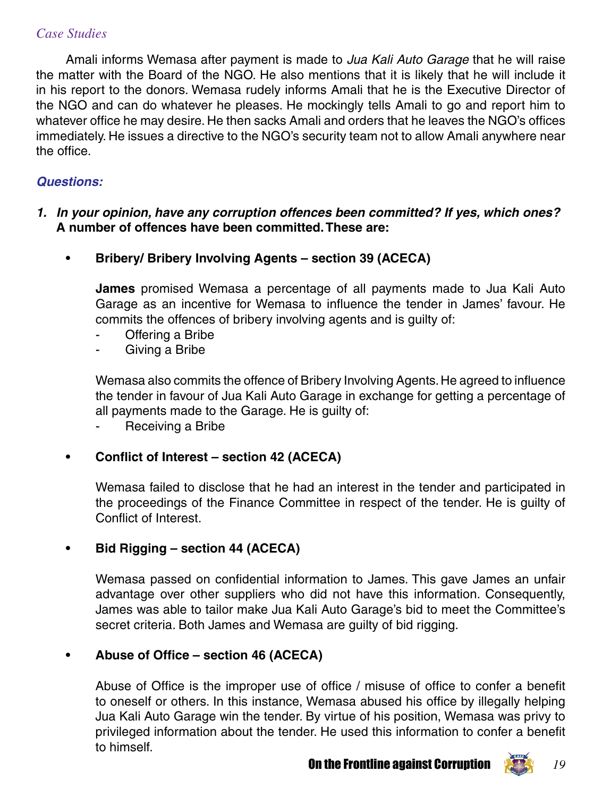Amali informs Wemasa after payment is made to *Jua Kali Auto Garage* that he will raise the matter with the Board of the NGO. He also mentions that it is likely that he will include it in his report to the donors. Wemasa rudely informs Amali that he is the Executive Director of the NGO and can do whatever he pleases. He mockingly tells Amali to go and report him to whatever office he may desire. He then sacks Amali and orders that he leaves the NGO's offices immediately. He issues a directive to the NGO's security team not to allow Amali anywhere near the office.

### *Questions:*

- *1. In your opinion, have any corruption offences been committed? If yes, which ones?* **A number of offences have been committed. These are:**
	- **• Bribery/ Bribery Involving Agents – section 39 (ACECA)**

 **James** promised Wemasa a percentage of all payments made to Jua Kali Auto Garage as an incentive for Wemasa to influence the tender in James' favour. He commits the offences of bribery involving agents and is guilty of:

- Offering a Bribe
- Giving a Bribe

 Wemasa also commits the offence of Bribery Involving Agents. He agreed to influence the tender in favour of Jua Kali Auto Garage in exchange for getting a percentage of all payments made to the Garage. He is guilty of:

Receiving a Bribe

#### **Conflict of Interest – section 42 (ACECA)**

 Wemasa failed to disclose that he had an interest in the tender and participated in the proceedings of the Finance Committee in respect of the tender. He is guilty of Conflict of Interest.

#### **• Bid Rigging – section 44 (ACECA)**

 Wemasa passed on confidential information to James. This gave James an unfair advantage over other suppliers who did not have this information. Consequently, James was able to tailor make Jua Kali Auto Garage's bid to meet the Committee's secret criteria. Both James and Wemasa are guilty of bid rigging.

#### **• Abuse of Office – section 46 (ACECA)**

 Abuse of Office is the improper use of office / misuse of office to confer a benefit to oneself or others. In this instance, Wemasa abused his office by illegally helping Jua Kali Auto Garage win the tender. By virtue of his position, Wemasa was privy to privileged information about the tender. He used this information to confer a benefit to himself.

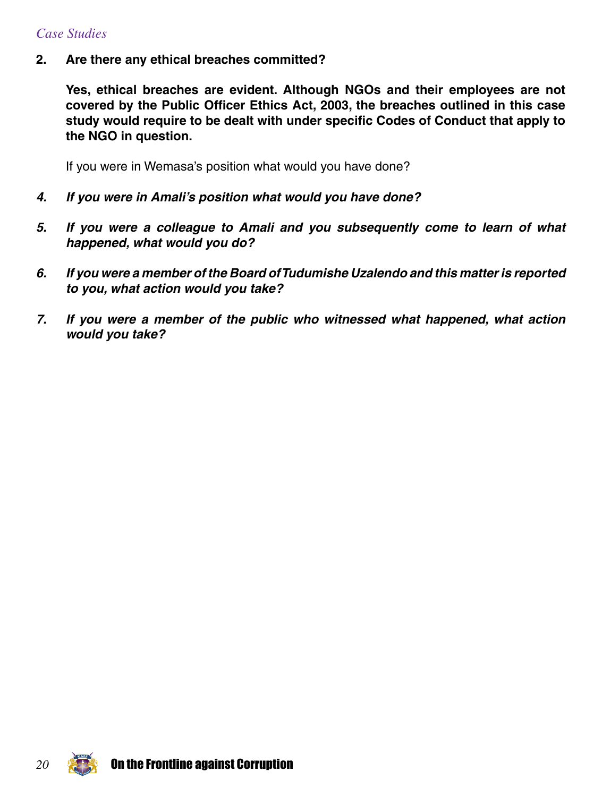**2. Are there any ethical breaches committed?**

**Yes, ethical breaches are evident. Although NGOs and their employees are not covered by the Public Officer Ethics Act, 2003, the breaches outlined in this case study would require to be dealt with under specific Codes of Conduct that apply to the NGO in question.**

If you were in Wemasa's position what would you have done?

- *4. If you were in Amali's position what would you have done?*
- *5. If you were a colleague to Amali and you subsequently come to learn of what happened, what would you do?*
- *6. If you were a member of the Board of Tudumishe Uzalendo and this matter is reported to you, what action would you take?*
- *7. If you were a member of the public who witnessed what happened, what action would you take?*

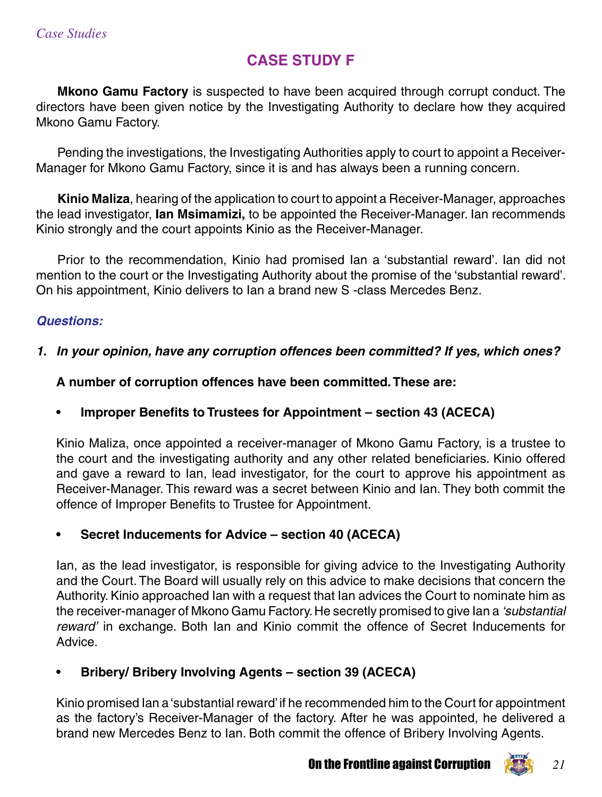# **CASE STUDY F**

**Mkono Gamu Factory** is suspected to have been acquired through corrupt conduct. The directors have been given notice by the Investigating Authority to declare how they acquired Mkono Gamu Factory.

Pending the investigations, the Investigating Authorities apply to court to appoint a Receiver-Manager for Mkono Gamu Factory, since it is and has always been a running concern.

**Kinio Maliza**, hearing of the application to court to appoint a Receiver-Manager, approaches the lead investigator, **Ian Msimamizi,** to be appointed the Receiver-Manager. Ian recommends Kinio strongly and the court appoints Kinio as the Receiver-Manager.

Prior to the recommendation, Kinio had promised Ian a 'substantial reward'. Ian did not mention to the court or the Investigating Authority about the promise of the 'substantial reward'. On his appointment, Kinio delivers to Ian a brand new S -class Mercedes Benz.

#### *Questions:*

#### *1. In your opinion, have any corruption offences been committed? If yes, which ones?*

**A number of corruption offences have been committed. These are:**

#### **lmproper Benefits to Trustees for Appointment – section 43 (ACECA)**

Kinio Maliza, once appointed a receiver-manager of Mkono Gamu Factory, is a trustee to the court and the investigating authority and any other related beneficiaries. Kinio offered and gave a reward to Ian, lead investigator, for the court to approve his appointment as Receiver-Manager. This reward was a secret between Kinio and Ian. They both commit the offence of Improper Benefits to Trustee for Appointment.

#### **• Secret Inducements for Advice – section 40 (ACECA)**

Ian, as the lead investigator, is responsible for giving advice to the Investigating Authority and the Court. The Board will usually rely on this advice to make decisions that concern the Authority. Kinio approached Ian with a request that Ian advices the Court to nominate him as the receiver-manager of Mkono Gamu Factory. He secretly promised to give Ian a *'substantial reward'* in exchange. Both Ian and Kinio commit the offence of Secret Inducements for Advice.

#### **• Bribery/ Bribery Involving Agents – section 39 (ACECA)**

Kinio promised Ian a 'substantial reward' if he recommended him to the Court for appointment as the factory's Receiver-Manager of the factory. After he was appointed, he delivered a brand new Mercedes Benz to Ian. Both commit the offence of Bribery Involving Agents.

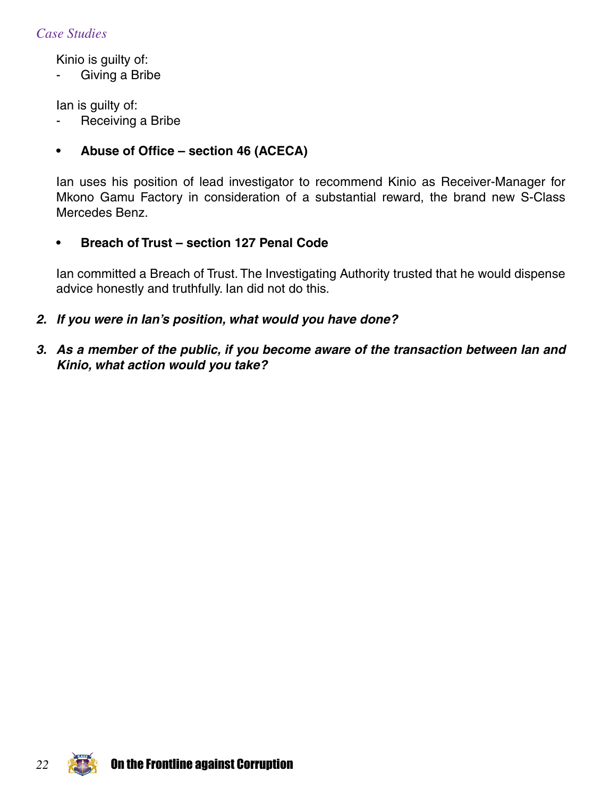Kinio is guilty of:

Giving a Bribe

Ian is guilty of:

- Receiving a Bribe
- **• Abuse of Office – section 46 (ACECA)**

Ian uses his position of lead investigator to recommend Kinio as Receiver-Manager for Mkono Gamu Factory in consideration of a substantial reward, the brand new S-Class Mercedes Benz.

**• Breach of Trust – section 127 Penal Code**

Ian committed a Breach of Trust. The Investigating Authority trusted that he would dispense advice honestly and truthfully. Ian did not do this.

- *2. If you were in Ian's position, what would you have done?*
- *3. As a member of the public, if you become aware of the transaction between Ian and Kinio, what action would you take?*

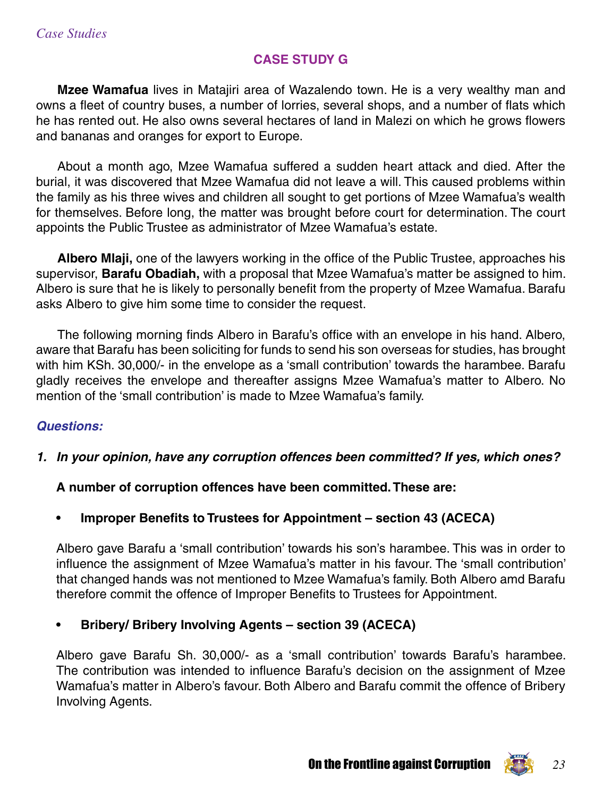# **CASE STUDY G**

**Mzee Wamafua** lives in Matajiri area of Wazalendo town. He is a very wealthy man and owns a fleet of country buses, a number of lorries, several shops, and a number of flats which he has rented out. He also owns several hectares of land in Malezi on which he grows flowers and bananas and oranges for export to Europe.

About a month ago, Mzee Wamafua suffered a sudden heart attack and died. After the burial, it was discovered that Mzee Wamafua did not leave a will. This caused problems within the family as his three wives and children all sought to get portions of Mzee Wamafua's wealth for themselves. Before long, the matter was brought before court for determination. The court appoints the Public Trustee as administrator of Mzee Wamafua's estate.

**Albero Mlaji,** one of the lawyers working in the office of the Public Trustee, approaches his supervisor, **Barafu Obadiah,** with a proposal that Mzee Wamafua's matter be assigned to him. Albero is sure that he is likely to personally benefit from the property of Mzee Wamafua. Barafu asks Albero to give him some time to consider the request.

The following morning finds Albero in Barafu's office with an envelope in his hand. Albero, aware that Barafu has been soliciting for funds to send his son overseas for studies, has brought with him KSh. 30,000/- in the envelope as a 'small contribution' towards the harambee. Barafu gladly receives the envelope and thereafter assigns Mzee Wamafua's matter to Albero. No mention of the 'small contribution' is made to Mzee Wamafua's family.

#### *Questions:*

#### *1. In your opinion, have any corruption offences been committed? If yes, which ones?*

#### **A number of corruption offences have been committed. These are:**

# **lmproper Benefits to Trustees for Appointment – section 43 (ACECA)**

Albero gave Barafu a 'small contribution' towards his son's harambee. This was in order to influence the assignment of Mzee Wamafua's matter in his favour. The 'small contribution' that changed hands was not mentioned to Mzee Wamafua's family. Both Albero amd Barafu therefore commit the offence of Improper Benefits to Trustees for Appointment.

# **• Bribery/ Bribery Involving Agents – section 39 (ACECA)**

 Albero gave Barafu Sh. 30,000/- as a 'small contribution' towards Barafu's harambee. The contribution was intended to influence Barafu's decision on the assignment of Mzee Wamafua's matter in Albero's favour. Both Albero and Barafu commit the offence of Bribery Involving Agents.

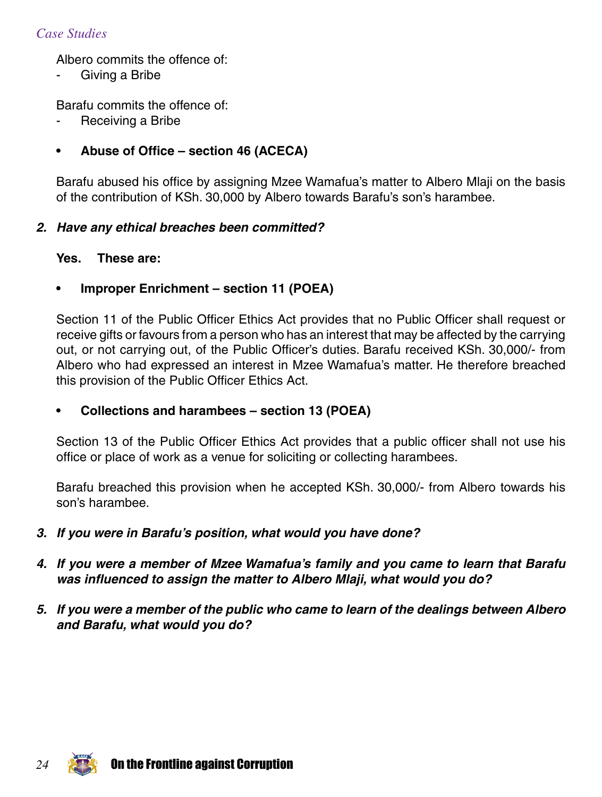Albero commits the offence of:

Giving a Bribe

Barafu commits the offence of:

Receiving a Bribe

# **• Abuse of Office – section 46 (ACECA)**

Barafu abused his office by assigning Mzee Wamafua's matter to Albero Mlaji on the basis of the contribution of KSh. 30,000 by Albero towards Barafu's son's harambee.

### *2. Have any ethical breaches been committed?*

#### **Yes. These are:**

# **Improper Enrichment** – section 11 (POEA)

Section 11 of the Public Officer Ethics Act provides that no Public Officer shall request or receive gifts or favours from a person who has an interest that may be affected by the carrying out, or not carrying out, of the Public Officer's duties. Barafu received KSh. 30,000/- from Albero who had expressed an interest in Mzee Wamafua's matter. He therefore breached this provision of the Public Officer Ethics Act.

# **• Collections and harambees – section 13 (POEA)**

Section 13 of the Public Officer Ethics Act provides that a public officer shall not use his office or place of work as a venue for soliciting or collecting harambees.

 Barafu breached this provision when he accepted KSh. 30,000/- from Albero towards his son's harambee.

- *3. If you were in Barafu's position, what would you have done?*
- *4. If you were a member of Mzee Wamafua's family and you came to learn that Barafu was influenced to assign the matter to Albero Mlaji, what would you do?*
- *5. If you were a member of the public who came to learn of the dealings between Albero and Barafu, what would you do?*

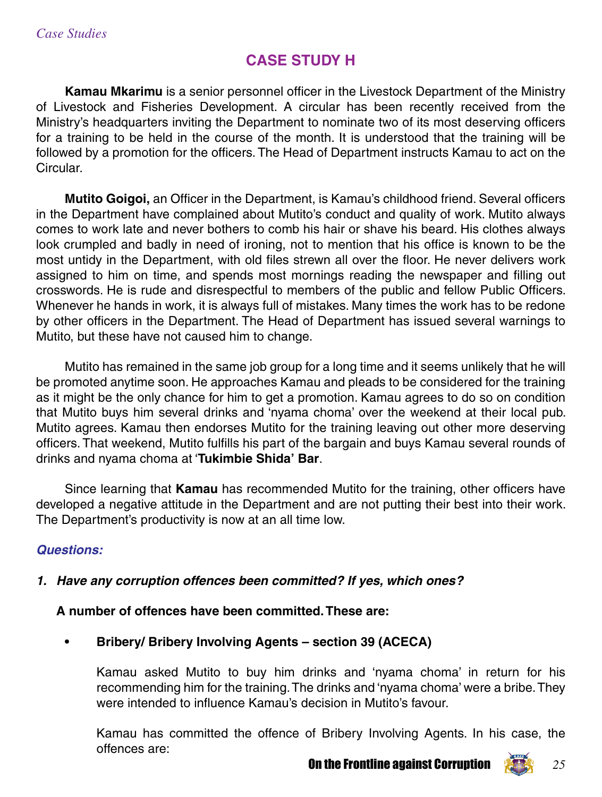# **CASE STUDY H**

**Kamau Mkarimu** is a senior personnel officer in the Livestock Department of the Ministry of Livestock and Fisheries Development. A circular has been recently received from the Ministry's headquarters inviting the Department to nominate two of its most deserving officers for a training to be held in the course of the month. It is understood that the training will be followed by a promotion for the officers. The Head of Department instructs Kamau to act on the Circular.

**Mutito Goigoi,** an Officer in the Department, is Kamau's childhood friend. Several officers in the Department have complained about Mutito's conduct and quality of work. Mutito always comes to work late and never bothers to comb his hair or shave his beard. His clothes always look crumpled and badly in need of ironing, not to mention that his office is known to be the most untidy in the Department, with old files strewn all over the floor. He never delivers work assigned to him on time, and spends most mornings reading the newspaper and filling out crosswords. He is rude and disrespectful to members of the public and fellow Public Officers. Whenever he hands in work, it is always full of mistakes. Many times the work has to be redone by other officers in the Department. The Head of Department has issued several warnings to Mutito, but these have not caused him to change.

Mutito has remained in the same job group for a long time and it seems unlikely that he will be promoted anytime soon. He approaches Kamau and pleads to be considered for the training as it might be the only chance for him to get a promotion. Kamau agrees to do so on condition that Mutito buys him several drinks and 'nyama choma' over the weekend at their local pub. Mutito agrees. Kamau then endorses Mutito for the training leaving out other more deserving officers. That weekend, Mutito fulfills his part of the bargain and buys Kamau several rounds of drinks and nyama choma at '**Tukimbie Shida' Bar**.

Since learning that **Kamau** has recommended Mutito for the training, other officers have developed a negative attitude in the Department and are not putting their best into their work. The Department's productivity is now at an all time low.

#### *Questions:*

#### *1. Have any corruption offences been committed? If yes, which ones?*

#### **A number of offences have been committed. These are:**

**• Bribery/ Bribery Involving Agents – section 39 (ACECA)**

 Kamau asked Mutito to buy him drinks and 'nyama choma' in return for his recommending him for the training. The drinks and 'nyama choma' were a bribe. They were intended to influence Kamau's decision in Mutito's favour.

 Kamau has committed the offence of Bribery Involving Agents. In his case, the offences are:

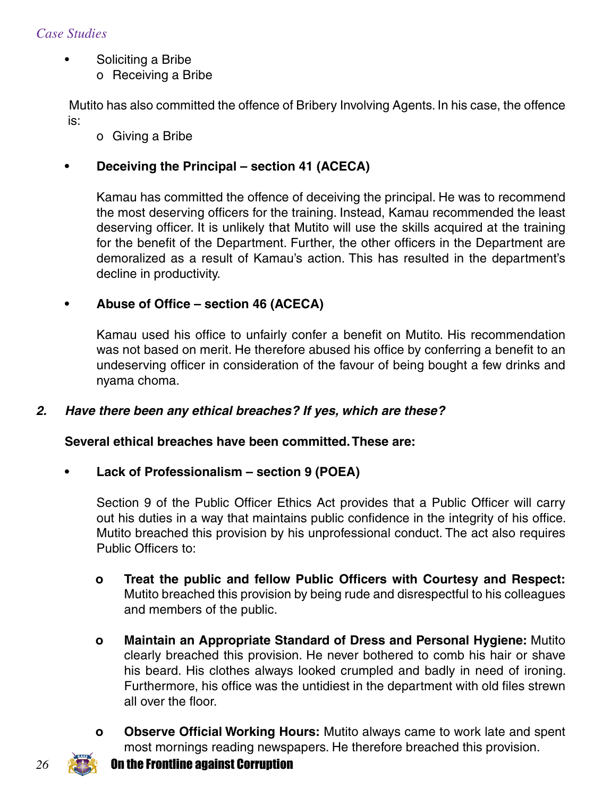- Soliciting a Bribe
	- o Receiving a Bribe

 Mutito has also committed the offence of Bribery Involving Agents. In his case, the offence is:

o Giving a Bribe

# **• Deceiving the Principal – section 41 (ACECA)**

 Kamau has committed the offence of deceiving the principal. He was to recommend the most deserving officers for the training. Instead, Kamau recommended the least deserving officer. It is unlikely that Mutito will use the skills acquired at the training for the benefit of the Department. Further, the other officers in the Department are demoralized as a result of Kamau's action. This has resulted in the department's decline in productivity.

# **• Abuse of Office – section 46 (ACECA)**

 Kamau used his office to unfairly confer a benefit on Mutito. His recommendation was not based on merit. He therefore abused his office by conferring a benefit to an undeserving officer in consideration of the favour of being bought a few drinks and nyama choma.

#### *2. Have there been any ethical breaches? If yes, which are these?*

**Several ethical breaches have been committed. These are:**

#### **• Lack of Professionalism – section 9 (POEA)**

 Section 9 of the Public Officer Ethics Act provides that a Public Officer will carry out his duties in a way that maintains public confidence in the integrity of his office. Mutito breached this provision by his unprofessional conduct. The act also requires Public Officers to:

- **o Treat the public and fellow Public Officers with Courtesy and Respect:** Mutito breached this provision by being rude and disrespectful to his colleagues and members of the public.
- **o Maintain an Appropriate Standard of Dress and Personal Hygiene:** Mutito clearly breached this provision. He never bothered to comb his hair or shave his beard. His clothes always looked crumpled and badly in need of ironing. Furthermore, his office was the untidiest in the department with old files strewn all over the floor.
- **o Observe Official Working Hours:** Mutito always came to work late and spent most mornings reading newspapers. He therefore breached this provision.

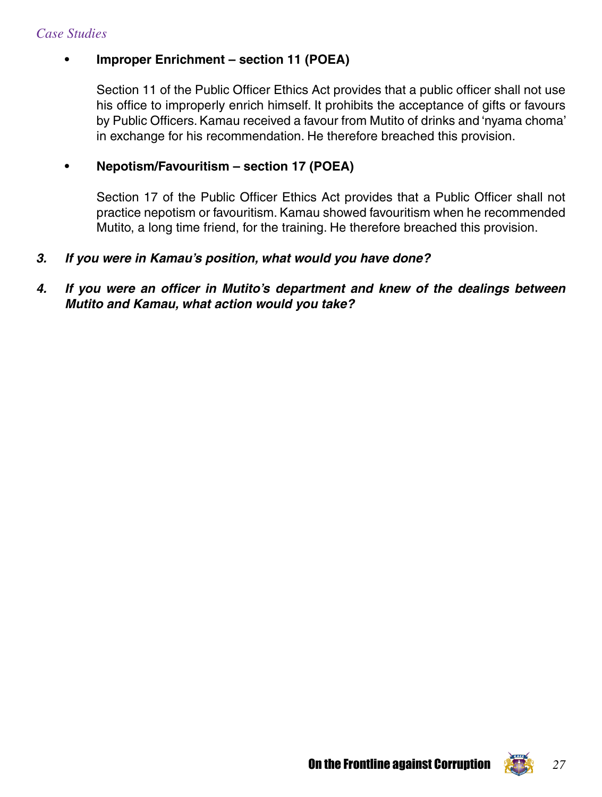# **Improper Enrichment** – section 11 (POEA)

 Section 11 of the Public Officer Ethics Act provides that a public officer shall not use his office to improperly enrich himself. It prohibits the acceptance of gifts or favours by Public Officers. Kamau received a favour from Mutito of drinks and 'nyama choma' in exchange for his recommendation. He therefore breached this provision.

#### **• Nepotism/Favouritism – section 17 (POEA)**

 Section 17 of the Public Officer Ethics Act provides that a Public Officer shall not practice nepotism or favouritism. Kamau showed favouritism when he recommended Mutito, a long time friend, for the training. He therefore breached this provision.

#### *3. If you were in Kamau's position, what would you have done?*

#### *4. If you were an officer in Mutito's department and knew of the dealings between Mutito and Kamau, what action would you take?*



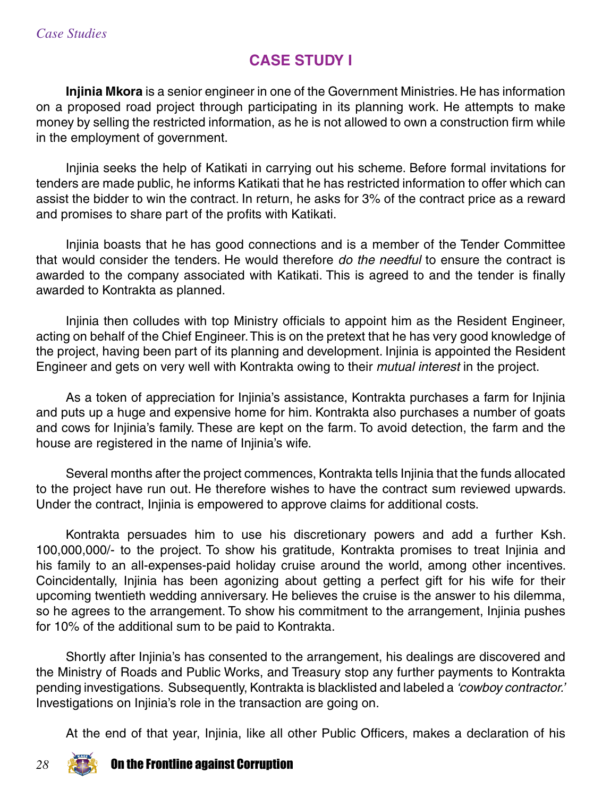# **CASE STUDY I**

**Injinia Mkora** is a senior engineer in one of the Government Ministries. He has information on a proposed road project through participating in its planning work. He attempts to make money by selling the restricted information, as he is not allowed to own a construction firm while in the employment of government.

Injinia seeks the help of Katikati in carrying out his scheme. Before formal invitations for tenders are made public, he informs Katikati that he has restricted information to offer which can assist the bidder to win the contract. In return, he asks for 3% of the contract price as a reward and promises to share part of the profits with Katikati.

Injinia boasts that he has good connections and is a member of the Tender Committee that would consider the tenders. He would therefore *do the needful* to ensure the contract is awarded to the company associated with Katikati. This is agreed to and the tender is finally awarded to Kontrakta as planned.

Injinia then colludes with top Ministry officials to appoint him as the Resident Engineer, acting on behalf of the Chief Engineer. This is on the pretext that he has very good knowledge of the project, having been part of its planning and development. Injinia is appointed the Resident Engineer and gets on very well with Kontrakta owing to their *mutual interest* in the project.

As a token of appreciation for Injinia's assistance, Kontrakta purchases a farm for Injinia and puts up a huge and expensive home for him. Kontrakta also purchases a number of goats and cows for Injinia's family. These are kept on the farm. To avoid detection, the farm and the house are registered in the name of Injinia's wife.

Several months after the project commences, Kontrakta tells Injinia that the funds allocated to the project have run out. He therefore wishes to have the contract sum reviewed upwards. Under the contract, Injinia is empowered to approve claims for additional costs.

Kontrakta persuades him to use his discretionary powers and add a further Ksh. 100,000,000/- to the project. To show his gratitude, Kontrakta promises to treat Injinia and his family to an all-expenses-paid holiday cruise around the world, among other incentives. Coincidentally, Injinia has been agonizing about getting a perfect gift for his wife for their upcoming twentieth wedding anniversary. He believes the cruise is the answer to his dilemma, so he agrees to the arrangement. To show his commitment to the arrangement, Injinia pushes for 10% of the additional sum to be paid to Kontrakta.

Shortly after Injinia's has consented to the arrangement, his dealings are discovered and the Ministry of Roads and Public Works, and Treasury stop any further payments to Kontrakta pending investigations. Subsequently, Kontrakta is blacklisted and labeled a *'cowboy contractor.'* Investigations on Injinia's role in the transaction are going on.

At the end of that year, Injinia, like all other Public Officers, makes a declaration of his

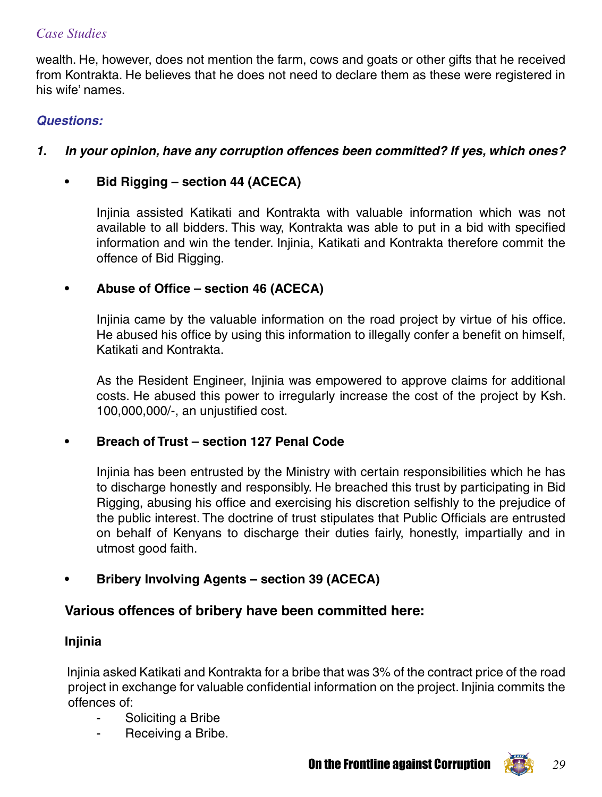wealth. He, however, does not mention the farm, cows and goats or other gifts that he received from Kontrakta. He believes that he does not need to declare them as these were registered in his wife' names.

#### *Questions:*

# *1. In your opinion, have any corruption offences been committed? If yes, which ones?*

# **• Bid Rigging – section 44 (ACECA)**

 Injinia assisted Katikati and Kontrakta with valuable information which was not available to all bidders. This way, Kontrakta was able to put in a bid with specified information and win the tender. Injinia, Katikati and Kontrakta therefore commit the offence of Bid Rigging.

### **• Abuse of Office – section 46 (ACECA)**

 Injinia came by the valuable information on the road project by virtue of his office. He abused his office by using this information to illegally confer a benefit on himself, Katikati and Kontrakta.

 As the Resident Engineer, Injinia was empowered to approve claims for additional costs. He abused this power to irregularly increase the cost of the project by Ksh. 100,000,000/-, an unjustified cost.

#### **Breach of Trust – section 127 Penal Code**

 Injinia has been entrusted by the Ministry with certain responsibilities which he has to discharge honestly and responsibly. He breached this trust by participating in Bid Rigging, abusing his office and exercising his discretion selfishly to the prejudice of the public interest. The doctrine of trust stipulates that Public Officials are entrusted on behalf of Kenyans to discharge their duties fairly, honestly, impartially and in utmost good faith.

# **Bribery Involving Agents – section 39 (ACECA)**

# **Various offences of bribery have been committed here:**

#### **Injinia**

Injinia asked Katikati and Kontrakta for a bribe that was 3% of the contract price of the road project in exchange for valuable confidential information on the project. Injinia commits the offences of:

- Soliciting a Bribe
- Receiving a Bribe.

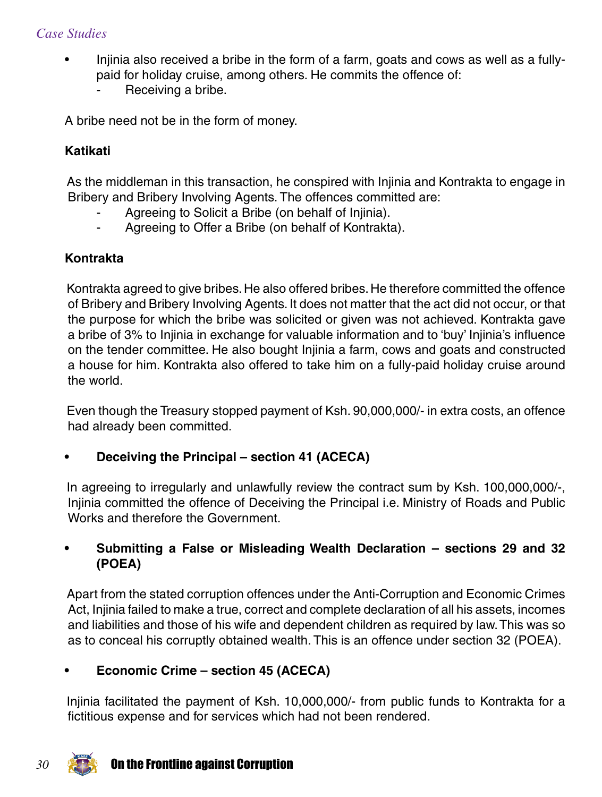- Injinia also received a bribe in the form of a farm, goats and cows as well as a fullypaid for holiday cruise, among others. He commits the offence of:
	- Receiving a bribe.

A bribe need not be in the form of money.

# **Katikati**

As the middleman in this transaction, he conspired with Injinia and Kontrakta to engage in Bribery and Bribery Involving Agents. The offences committed are:

- Agreeing to Solicit a Bribe (on behalf of Injinia).
- Agreeing to Offer a Bribe (on behalf of Kontrakta).

# **Kontrakta**

Kontrakta agreed to give bribes. He also offered bribes. He therefore committed the offence of Bribery and Bribery Involving Agents. It does not matter that the act did not occur, or that the purpose for which the bribe was solicited or given was not achieved. Kontrakta gave a bribe of 3% to Injinia in exchange for valuable information and to 'buy' Injinia's influence on the tender committee. He also bought Injinia a farm, cows and goats and constructed a house for him. Kontrakta also offered to take him on a fully-paid holiday cruise around the world.

 Even though the Treasury stopped payment of Ksh. 90,000,000/- in extra costs, an offence had already been committed.

# **Deceiving the Principal – section 41 (ACECA)**

 In agreeing to irregularly and unlawfully review the contract sum by Ksh. 100,000,000/-, Injinia committed the offence of Deceiving the Principal i.e. Ministry of Roads and Public Works and therefore the Government.

### **• Submitting a False or Misleading Wealth Declaration – sections 29 and 32 (POEA)**

Apart from the stated corruption offences under the Anti-Corruption and Economic Crimes Act, Injinia failed to make a true, correct and complete declaration of all his assets, incomes and liabilities and those of his wife and dependent children as required by law. This was so as to conceal his corruptly obtained wealth. This is an offence under section 32 (POEA).

# **Economic Crime – section 45 (ACECA)**

 Injinia facilitated the payment of Ksh. 10,000,000/- from public funds to Kontrakta for a fictitious expense and for services which had not been rendered.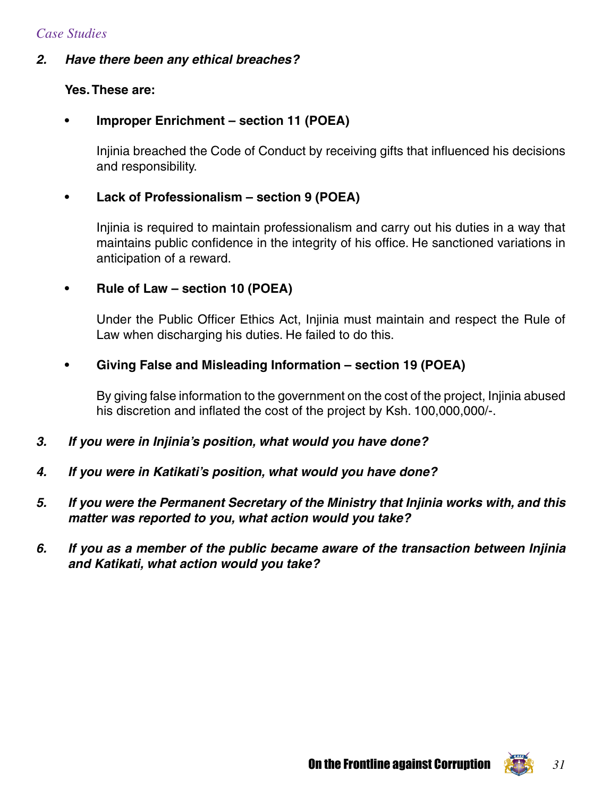#### *2. Have there been any ethical breaches?*

#### **Yes. These are:**

# **Improper Enrichment** – section 11 (POEA)

 Injinia breached the Code of Conduct by receiving gifts that influenced his decisions and responsibility.

### **• Lack of Professionalism – section 9 (POEA)**

 Injinia is required to maintain professionalism and carry out his duties in a way that maintains public confidence in the integrity of his office. He sanctioned variations in anticipation of a reward.

### **• Rule of Law – section 10 (POEA)**

 Under the Public Officer Ethics Act, Injinia must maintain and respect the Rule of Law when discharging his duties. He failed to do this.

### **• Giving False and Misleading Information – section 19 (POEA)**

 By giving false information to the government on the cost of the project, Injinia abused his discretion and inflated the cost of the project by Ksh. 100,000,000/-.

#### *3. If you were in Injinia's position, what would you have done?*

#### *4. If you were in Katikati's position, what would you have done?*

#### *5. If you were the Permanent Secretary of the Ministry that Injinia works with, and this matter was reported to you, what action would you take?*

*6. If you as a member of the public became aware of the transaction between Injinia and Katikati, what action would you take?*



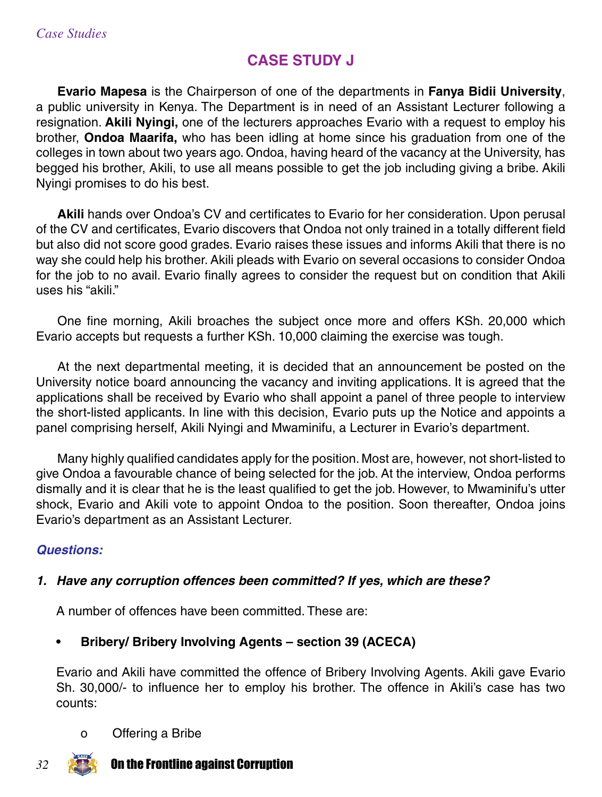# **CASE STUDY J**

**Evario Mapesa** is the Chairperson of one of the departments in **Fanya Bidii University**, a public university in Kenya. The Department is in need of an Assistant Lecturer following a resignation. **Akili Nyingi,** one of the lecturers approaches Evario with a request to employ his brother, **Ondoa Maarifa,** who has been idling at home since his graduation from one of the colleges in town about two years ago. Ondoa, having heard of the vacancy at the University, has begged his brother, Akili, to use all means possible to get the job including giving a bribe. Akili Nyingi promises to do his best.

**Akili** hands over Ondoa's CV and certificates to Evario for her consideration. Upon perusal of the CV and certificates, Evario discovers that Ondoa not only trained in a totally different field but also did not score good grades. Evario raises these issues and informs Akili that there is no way she could help his brother. Akili pleads with Evario on several occasions to consider Ondoa for the job to no avail. Evario finally agrees to consider the request but on condition that Akili uses his "akili."

One fine morning, Akili broaches the subject once more and offers KSh. 20,000 which Evario accepts but requests a further KSh. 10,000 claiming the exercise was tough.

At the next departmental meeting, it is decided that an announcement be posted on the University notice board announcing the vacancy and inviting applications. It is agreed that the applications shall be received by Evario who shall appoint a panel of three people to interview the short-listed applicants. In line with this decision, Evario puts up the Notice and appoints a panel comprising herself, Akili Nyingi and Mwaminifu, a Lecturer in Evario's department.

Many highly qualified candidates apply for the position. Most are, however, not short-listed to give Ondoa a favourable chance of being selected for the job. At the interview, Ondoa performs dismally and it is clear that he is the least qualified to get the job. However, to Mwaminifu's utter shock, Evario and Akili vote to appoint Ondoa to the position. Soon thereafter, Ondoa joins Evario's department as an Assistant Lecturer.

#### *Questions:*

#### *1. Have any corruption offences been committed? If yes, which are these?*

A number of offences have been committed. These are:

**• Bribery/ Bribery Involving Agents – section 39 (ACECA)**

Evario and Akili have committed the offence of Bribery Involving Agents. Akili gave Evario Sh. 30,000/- to influence her to employ his brother. The offence in Akili's case has two counts:

o Offering a Bribe

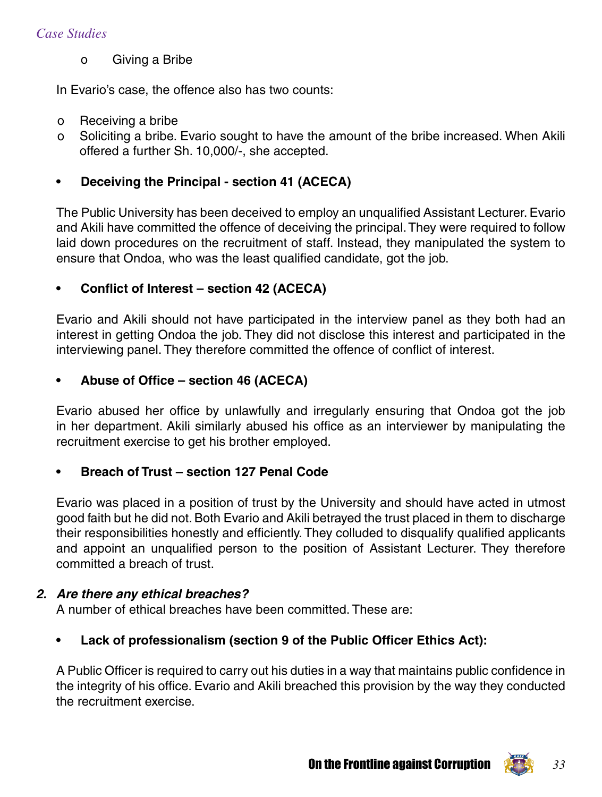o Giving a Bribe

In Evario's case, the offence also has two counts:

- o Receiving a bribe
- o Soliciting a bribe. Evario sought to have the amount of the bribe increased. When Akili offered a further Sh. 10,000/-, she accepted.

# **• Deceiving the Principal - section 41 (ACECA)**

The Public University has been deceived to employ an unqualified Assistant Lecturer. Evario and Akili have committed the offence of deceiving the principal. They were required to follow laid down procedures on the recruitment of staff. Instead, they manipulated the system to ensure that Ondoa, who was the least qualified candidate, got the job.

#### **Conflict of Interest – section 42 (ACECA)**

Evario and Akili should not have participated in the interview panel as they both had an interest in getting Ondoa the job. They did not disclose this interest and participated in the interviewing panel. They therefore committed the offence of conflict of interest.

#### **• Abuse of Office – section 46 (ACECA)**

Evario abused her office by unlawfully and irregularly ensuring that Ondoa got the job in her department. Akili similarly abused his office as an interviewer by manipulating the recruitment exercise to get his brother employed.

#### **• Breach of Trust – section 127 Penal Code**

Evario was placed in a position of trust by the University and should have acted in utmost good faith but he did not. Both Evario and Akili betrayed the trust placed in them to discharge their responsibilities honestly and efficiently. They colluded to disqualify qualified applicants and appoint an unqualified person to the position of Assistant Lecturer. They therefore committed a breach of trust.

#### *2. Are there any ethical breaches?*

A number of ethical breaches have been committed. These are:

**• Lack of professionalism (section 9 of the Public Officer Ethics Act):**

A Public Officer is required to carry out his duties in a way that maintains public confidence in the integrity of his office. Evario and Akili breached this provision by the way they conducted the recruitment exercise.

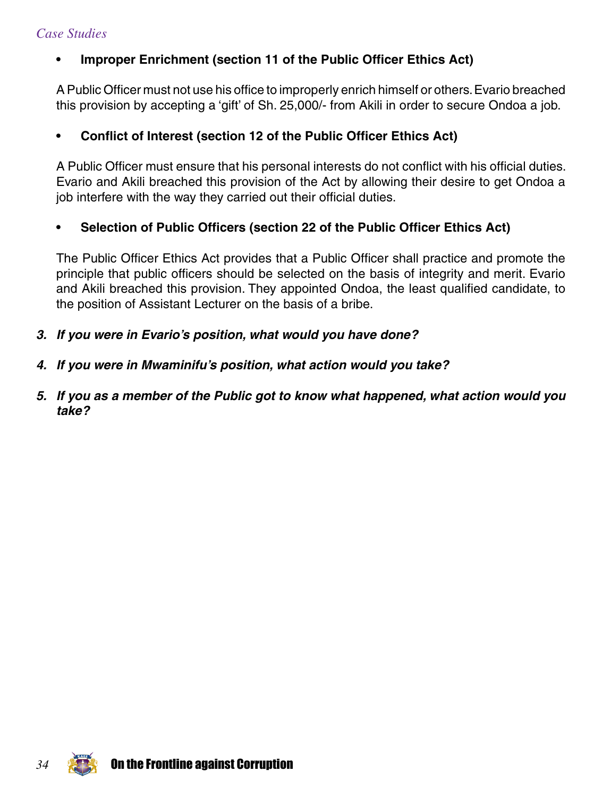# **• Improper Enrichment (section 11 of the Public Officer Ethics Act)**

A Public Officer must not use his office to improperly enrich himself or others. Evario breached this provision by accepting a 'gift' of Sh. 25,000/- from Akili in order to secure Ondoa a job.

# **• Conflict of Interest (section 12 of the Public Officer Ethics Act)**

A Public Officer must ensure that his personal interests do not conflict with his official duties. Evario and Akili breached this provision of the Act by allowing their desire to get Ondoa a job interfere with the way they carried out their official duties.

# **• Selection of Public Officers (section 22 of the Public Officer Ethics Act)**

The Public Officer Ethics Act provides that a Public Officer shall practice and promote the principle that public officers should be selected on the basis of integrity and merit. Evario and Akili breached this provision. They appointed Ondoa, the least qualified candidate, to the position of Assistant Lecturer on the basis of a bribe.

- *3. If you were in Evario's position, what would you have done?*
- *4. If you were in Mwaminifu's position, what action would you take?*
- *5. If you as a member of the Public got to know what happened, what action would you take?*

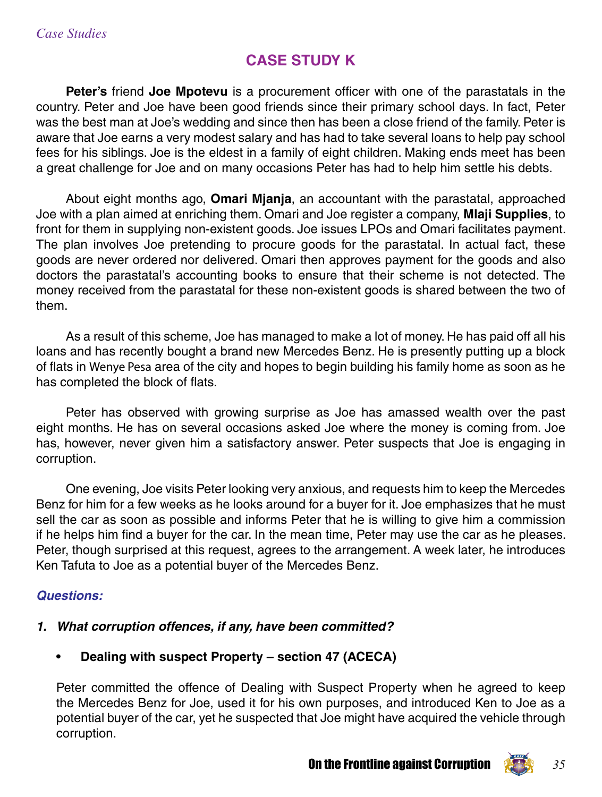# **CASE STUDY K**

**Peter's** friend **Joe Mpotevu** is a procurement officer with one of the parastatals in the country. Peter and Joe have been good friends since their primary school days. In fact, Peter was the best man at Joe's wedding and since then has been a close friend of the family. Peter is aware that Joe earns a very modest salary and has had to take several loans to help pay school fees for his siblings. Joe is the eldest in a family of eight children. Making ends meet has been a great challenge for Joe and on many occasions Peter has had to help him settle his debts.

About eight months ago, **Omari Mjanja**, an accountant with the parastatal, approached Joe with a plan aimed at enriching them. Omari and Joe register a company, **Mlaji Supplies**, to front for them in supplying non-existent goods. Joe issues LPOs and Omari facilitates payment. The plan involves Joe pretending to procure goods for the parastatal. In actual fact, these goods are never ordered nor delivered. Omari then approves payment for the goods and also doctors the parastatal's accounting books to ensure that their scheme is not detected. The money received from the parastatal for these non-existent goods is shared between the two of them.

As a result of this scheme, Joe has managed to make a lot of money. He has paid off all his loans and has recently bought a brand new Mercedes Benz. He is presently putting up a block of flats in Wenye Pesa area of the city and hopes to begin building his family home as soon as he has completed the block of flats.

Peter has observed with growing surprise as Joe has amassed wealth over the past eight months. He has on several occasions asked Joe where the money is coming from. Joe has, however, never given him a satisfactory answer. Peter suspects that Joe is engaging in corruption.

One evening, Joe visits Peter looking very anxious, and requests him to keep the Mercedes Benz for him for a few weeks as he looks around for a buyer for it. Joe emphasizes that he must sell the car as soon as possible and informs Peter that he is willing to give him a commission if he helps him find a buyer for the car. In the mean time, Peter may use the car as he pleases. Peter, though surprised at this request, agrees to the arrangement. A week later, he introduces Ken Tafuta to Joe as a potential buyer of the Mercedes Benz.

#### *Questions:*

#### *1. What corruption offences, if any, have been committed?*

**Dealing with suspect Property – section 47 (ACECA)** 

Peter committed the offence of Dealing with Suspect Property when he agreed to keep the Mercedes Benz for Joe, used it for his own purposes, and introduced Ken to Joe as a potential buyer of the car, yet he suspected that Joe might have acquired the vehicle through corruption.

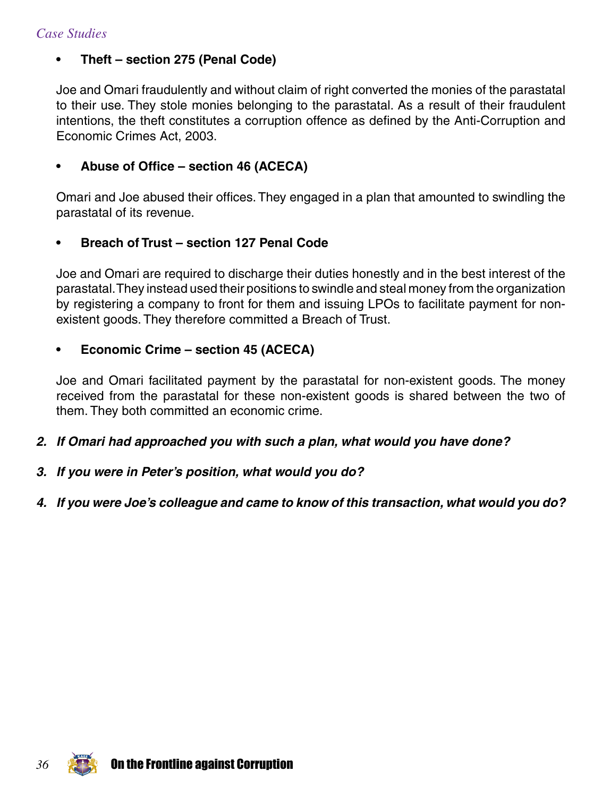### **• Theft – section 275 (Penal Code)**

Joe and Omari fraudulently and without claim of right converted the monies of the parastatal to their use. They stole monies belonging to the parastatal. As a result of their fraudulent intentions, the theft constitutes a corruption offence as defined by the Anti-Corruption and Economic Crimes Act, 2003.

#### **• Abuse of Office – section 46 (ACECA)**

Omari and Joe abused their offices. They engaged in a plan that amounted to swindling the parastatal of its revenue.

#### **• Breach of Trust – section 127 Penal Code**

Joe and Omari are required to discharge their duties honestly and in the best interest of the parastatal. They instead used their positions to swindle and steal money from the organization by registering a company to front for them and issuing LPOs to facilitate payment for nonexistent goods. They therefore committed a Breach of Trust.

#### **Economic Crime – section 45 (ACECA)**

Joe and Omari facilitated payment by the parastatal for non-existent goods. The money received from the parastatal for these non-existent goods is shared between the two of them. They both committed an economic crime.

#### *2. If Omari had approached you with such a plan, what would you have done?*

#### *3. If you were in Peter's position, what would you do?*

#### *4. If you were Joe's colleague and came to know of this transaction, what would you do?*

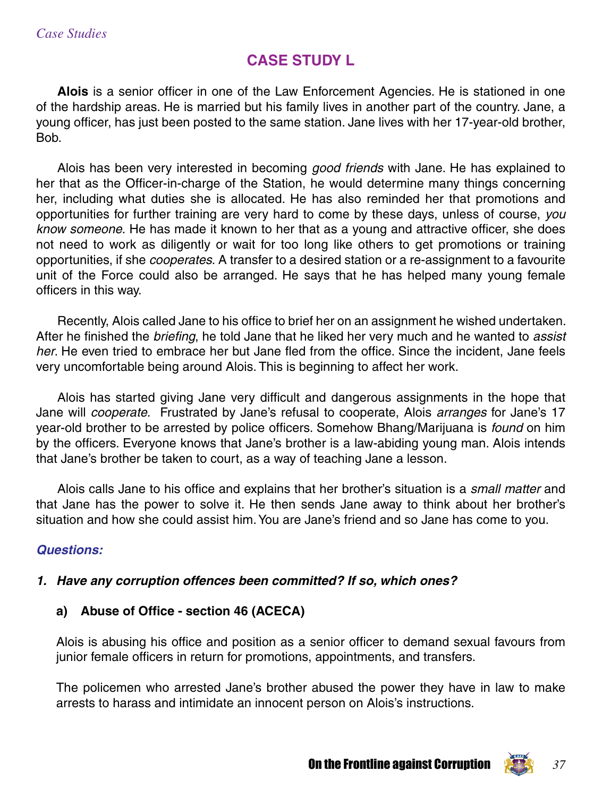# **CASE STUDY L**

**Alois** is a senior officer in one of the Law Enforcement Agencies. He is stationed in one of the hardship areas. He is married but his family lives in another part of the country. Jane, a young officer, has just been posted to the same station. Jane lives with her 17-year-old brother, Bob.

Alois has been very interested in becoming *good friends* with Jane. He has explained to her that as the Officer-in-charge of the Station, he would determine many things concerning her, including what duties she is allocated. He has also reminded her that promotions and opportunities for further training are very hard to come by these days, unless of course, *you know someone.* He has made it known to her that as a young and attractive officer, she does not need to work as diligently or wait for too long like others to get promotions or training opportunities, if she *cooperates.* A transfer to a desired station or a re-assignment to a favourite unit of the Force could also be arranged. He says that he has helped many young female officers in this way.

Recently, Alois called Jane to his office to brief her on an assignment he wished undertaken. After he finished the *briefing*, he told Jane that he liked her very much and he wanted to *assist her*. He even tried to embrace her but Jane fled from the office. Since the incident, Jane feels very uncomfortable being around Alois. This is beginning to affect her work.

Alois has started giving Jane very difficult and dangerous assignments in the hope that Jane will *cooperate.* Frustrated by Jane's refusal to cooperate, Alois *arranges* for Jane's 17 year-old brother to be arrested by police officers. Somehow Bhang/Marijuana is *found* on him by the officers. Everyone knows that Jane's brother is a law-abiding young man. Alois intends that Jane's brother be taken to court, as a way of teaching Jane a lesson.

Alois calls Jane to his office and explains that her brother's situation is a *small matter* and that Jane has the power to solve it. He then sends Jane away to think about her brother's situation and how she could assist him. You are Jane's friend and so Jane has come to you.

#### *Questions:*

#### *1. Have any corruption offences been committed? If so, which ones?*

#### **a) Abuse of Office - section 46 (ACECA)**

Alois is abusing his office and position as a senior officer to demand sexual favours from junior female officers in return for promotions, appointments, and transfers.

The policemen who arrested Jane's brother abused the power they have in law to make arrests to harass and intimidate an innocent person on Alois's instructions.

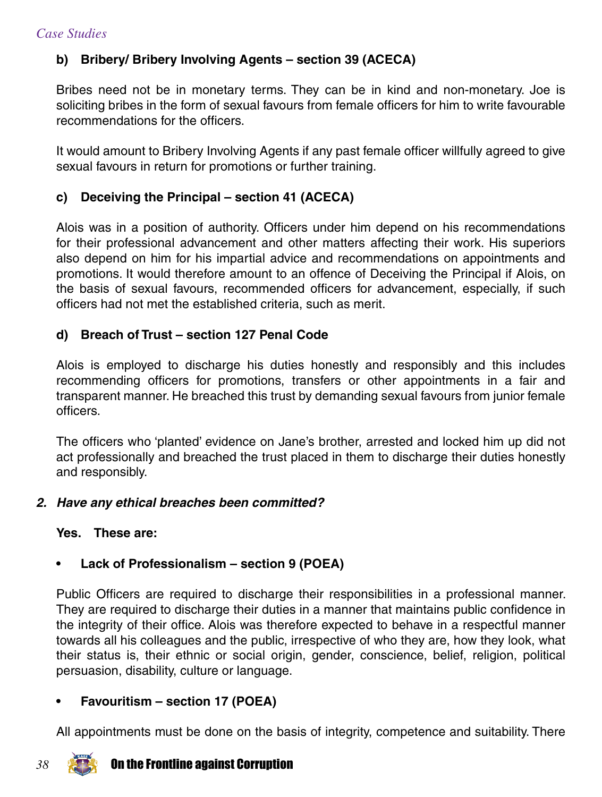# **b) Bribery/ Bribery Involving Agents – section 39 (ACECA)**

Bribes need not be in monetary terms. They can be in kind and non-monetary. Joe is soliciting bribes in the form of sexual favours from female officers for him to write favourable recommendations for the officers.

It would amount to Bribery Involving Agents if any past female officer willfully agreed to give sexual favours in return for promotions or further training.

### **c) Deceiving the Principal – section 41 (ACECA)**

Alois was in a position of authority. Officers under him depend on his recommendations for their professional advancement and other matters affecting their work. His superiors also depend on him for his impartial advice and recommendations on appointments and promotions. It would therefore amount to an offence of Deceiving the Principal if Alois, on the basis of sexual favours, recommended officers for advancement, especially, if such officers had not met the established criteria, such as merit.

#### **d) Breach of Trust – section 127 Penal Code**

Alois is employed to discharge his duties honestly and responsibly and this includes recommending officers for promotions, transfers or other appointments in a fair and transparent manner. He breached this trust by demanding sexual favours from junior female officers.

The officers who 'planted' evidence on Jane's brother, arrested and locked him up did not act professionally and breached the trust placed in them to discharge their duties honestly and responsibly.

#### *2. Have any ethical breaches been committed?*

#### **Yes. These are:**

#### **Lack of Professionalism – section 9 (POEA)**

Public Officers are required to discharge their responsibilities in a professional manner. They are required to discharge their duties in a manner that maintains public confidence in the integrity of their office. Alois was therefore expected to behave in a respectful manner towards all his colleagues and the public, irrespective of who they are, how they look, what their status is, their ethnic or social origin, gender, conscience, belief, religion, political persuasion, disability, culture or language.

#### **• Favouritism – section 17 (POEA)**

All appointments must be done on the basis of integrity, competence and suitability. There

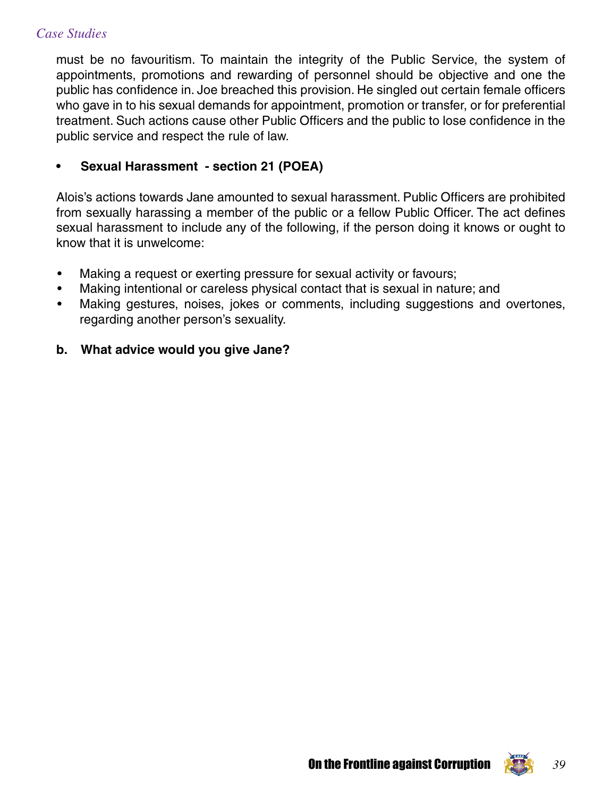must be no favouritism. To maintain the integrity of the Public Service, the system of appointments, promotions and rewarding of personnel should be objective and one the public has confidence in. Joe breached this provision. He singled out certain female officers who gave in to his sexual demands for appointment, promotion or transfer, or for preferential treatment. Such actions cause other Public Officers and the public to lose confidence in the public service and respect the rule of law.

# **Sexual Harassment - section 21 (POEA)**

Alois's actions towards Jane amounted to sexual harassment. Public Officers are prohibited from sexually harassing a member of the public or a fellow Public Officer. The act defines sexual harassment to include any of the following, if the person doing it knows or ought to know that it is unwelcome:

- Making a request or exerting pressure for sexual activity or favours;
- Making intentional or careless physical contact that is sexual in nature; and
- Making gestures, noises, jokes or comments, including suggestions and overtones, regarding another person's sexuality.

#### **b. What advice would you give Jane?**

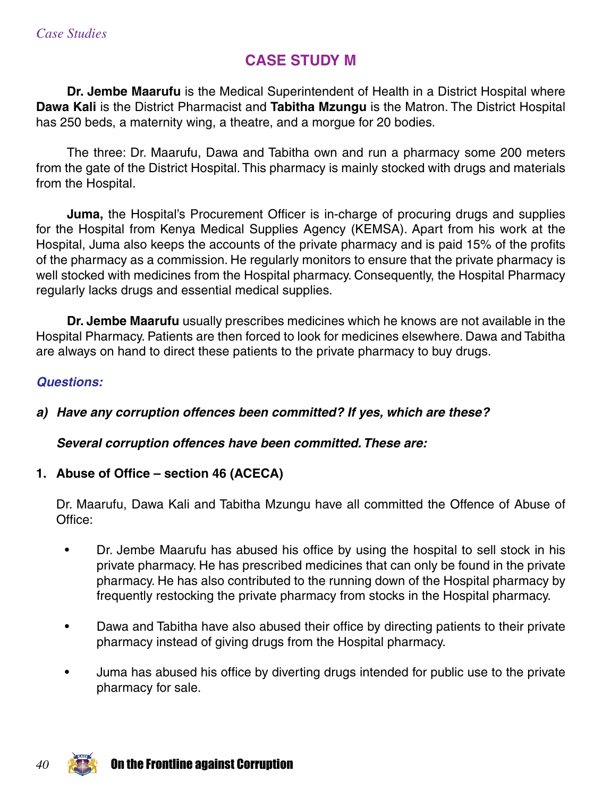# **CASE STUDY M**

**Dr. Jembe Maarufu** is the Medical Superintendent of Health in a District Hospital where **Dawa Kali** is the District Pharmacist and **Tabitha Mzungu** is the Matron. The District Hospital has 250 beds, a maternity wing, a theatre, and a morgue for 20 bodies.

The three: Dr. Maarufu, Dawa and Tabitha own and run a pharmacy some 200 meters from the gate of the District Hospital. This pharmacy is mainly stocked with drugs and materials from the Hospital.

**Juma,** the Hospital's Procurement Officer is in-charge of procuring drugs and supplies for the Hospital from Kenya Medical Supplies Agency (KEMSA). Apart from his work at the Hospital, Juma also keeps the accounts of the private pharmacy and is paid 15% of the profits of the pharmacy as a commission. He regularly monitors to ensure that the private pharmacy is well stocked with medicines from the Hospital pharmacy. Consequently, the Hospital Pharmacy regularly lacks drugs and essential medical supplies.

**Dr. Jembe Maarufu** usually prescribes medicines which he knows are not available in the Hospital Pharmacy. Patients are then forced to look for medicines elsewhere. Dawa and Tabitha are always on hand to direct these patients to the private pharmacy to buy drugs.

#### *Questions:*

#### *a) Have any corruption offences been committed? If yes, which are these?*

*Several corruption offences have been committed. These are:*

#### **1. Abuse of Office – section 46 (ACECA)**

Dr. Maarufu, Dawa Kali and Tabitha Mzungu have all committed the Offence of Abuse of Office:

- Dr. Jembe Maarufu has abused his office by using the hospital to sell stock in his private pharmacy. He has prescribed medicines that can only be found in the private pharmacy. He has also contributed to the running down of the Hospital pharmacy by frequently restocking the private pharmacy from stocks in the Hospital pharmacy.
- Dawa and Tabitha have also abused their office by directing patients to their private pharmacy instead of giving drugs from the Hospital pharmacy.
- Juma has abused his office by diverting drugs intended for public use to the private pharmacy for sale.

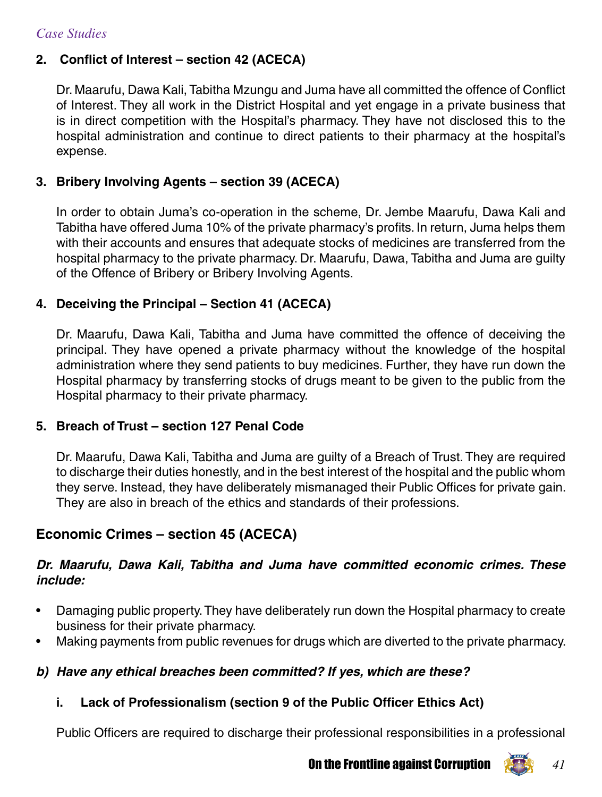# **2. Conflict of Interest – section 42 (ACECA)**

Dr. Maarufu, Dawa Kali, Tabitha Mzungu and Juma have all committed the offence of Conflict of Interest. They all work in the District Hospital and yet engage in a private business that is in direct competition with the Hospital's pharmacy. They have not disclosed this to the hospital administration and continue to direct patients to their pharmacy at the hospital's expense.

### **3. Bribery Involving Agents – section 39 (ACECA)**

In order to obtain Juma's co-operation in the scheme, Dr. Jembe Maarufu, Dawa Kali and Tabitha have offered Juma 10% of the private pharmacy's profits. In return, Juma helps them with their accounts and ensures that adequate stocks of medicines are transferred from the hospital pharmacy to the private pharmacy. Dr. Maarufu, Dawa, Tabitha and Juma are guilty of the Offence of Bribery or Bribery Involving Agents.

### **4. Deceiving the Principal – Section 41 (ACECA)**

Dr. Maarufu, Dawa Kali, Tabitha and Juma have committed the offence of deceiving the principal. They have opened a private pharmacy without the knowledge of the hospital administration where they send patients to buy medicines. Further, they have run down the Hospital pharmacy by transferring stocks of drugs meant to be given to the public from the Hospital pharmacy to their private pharmacy.

#### **5. Breach of Trust – section 127 Penal Code**

Dr. Maarufu, Dawa Kali, Tabitha and Juma are guilty of a Breach of Trust. They are required to discharge their duties honestly, and in the best interest of the hospital and the public whom they serve. Instead, they have deliberately mismanaged their Public Offices for private gain. They are also in breach of the ethics and standards of their professions.

# **Economic Crimes – section 45 (ACECA)**

#### *Dr. Maarufu, Dawa Kali, Tabitha and Juma have committed economic crimes. These include:*

- Damaging public property. They have deliberately run down the Hospital pharmacy to create business for their private pharmacy.
- Making payments from public revenues for drugs which are diverted to the private pharmacy.

# *b) Have any ethical breaches been committed? If yes, which are these?*

#### **i. Lack of Professionalism (section 9 of the Public Officer Ethics Act)**

Public Officers are required to discharge their professional responsibilities in a professional

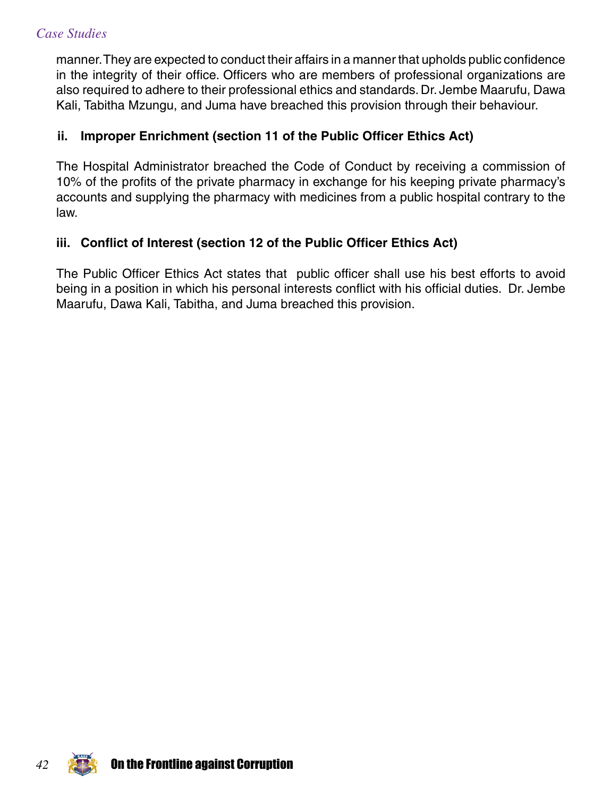manner. They are expected to conduct their affairs in a manner that upholds public confidence in the integrity of their office. Officers who are members of professional organizations are also required to adhere to their professional ethics and standards. Dr. Jembe Maarufu, Dawa Kali, Tabitha Mzungu, and Juma have breached this provision through their behaviour.

# **ii. Improper Enrichment (section 11 of the Public Officer Ethics Act)**

The Hospital Administrator breached the Code of Conduct by receiving a commission of 10% of the profits of the private pharmacy in exchange for his keeping private pharmacy's accounts and supplying the pharmacy with medicines from a public hospital contrary to the law.

# **iii. Conflict of Interest (section 12 of the Public Officer Ethics Act)**

The Public Officer Ethics Act states that public officer shall use his best efforts to avoid being in a position in which his personal interests conflict with his official duties. Dr. Jembe Maarufu, Dawa Kali, Tabitha, and Juma breached this provision.

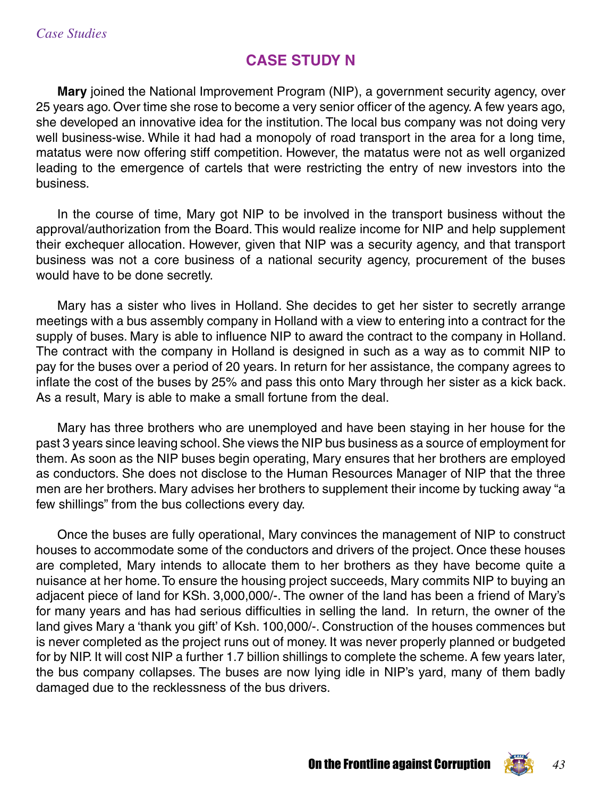# **CASE STUDY N**

**Mary** joined the National Improvement Program (NIP), a government security agency, over 25 years ago. Over time she rose to become a very senior officer of the agency. A few years ago, she developed an innovative idea for the institution. The local bus company was not doing very well business-wise. While it had had a monopoly of road transport in the area for a long time, matatus were now offering stiff competition. However, the matatus were not as well organized leading to the emergence of cartels that were restricting the entry of new investors into the business.

In the course of time, Mary got NIP to be involved in the transport business without the approval/authorization from the Board. This would realize income for NIP and help supplement their exchequer allocation. However, given that NIP was a security agency, and that transport business was not a core business of a national security agency, procurement of the buses would have to be done secretly.

Mary has a sister who lives in Holland. She decides to get her sister to secretly arrange meetings with a bus assembly company in Holland with a view to entering into a contract for the supply of buses. Mary is able to influence NIP to award the contract to the company in Holland. The contract with the company in Holland is designed in such as a way as to commit NIP to pay for the buses over a period of 20 years. In return for her assistance, the company agrees to inflate the cost of the buses by 25% and pass this onto Mary through her sister as a kick back. As a result, Mary is able to make a small fortune from the deal.

Mary has three brothers who are unemployed and have been staying in her house for the past 3 years since leaving school. She views the NIP bus business as a source of employment for them. As soon as the NIP buses begin operating, Mary ensures that her brothers are employed as conductors. She does not disclose to the Human Resources Manager of NIP that the three men are her brothers. Mary advises her brothers to supplement their income by tucking away "a few shillings" from the bus collections every day.

Once the buses are fully operational, Mary convinces the management of NIP to construct houses to accommodate some of the conductors and drivers of the project. Once these houses are completed, Mary intends to allocate them to her brothers as they have become quite a nuisance at her home. To ensure the housing project succeeds, Mary commits NIP to buying an adjacent piece of land for KSh. 3,000,000/-. The owner of the land has been a friend of Mary's for many years and has had serious difficulties in selling the land. In return, the owner of the land gives Mary a 'thank you gift' of Ksh. 100,000/-. Construction of the houses commences but is never completed as the project runs out of money. It was never properly planned or budgeted for by NIP. It will cost NIP a further 1.7 billion shillings to complete the scheme. A few years later, the bus company collapses. The buses are now lying idle in NIP's yard, many of them badly damaged due to the recklessness of the bus drivers.

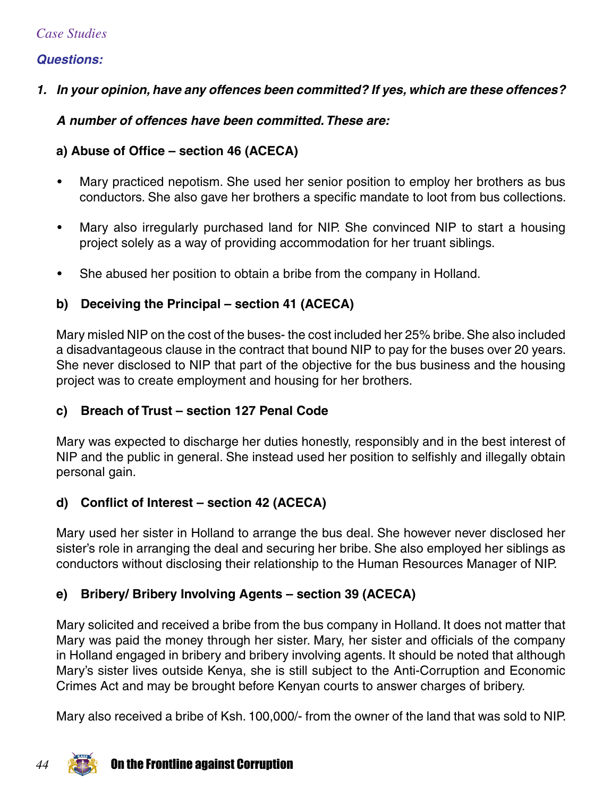# *Questions:*

*1. In your opinion, have any offences been committed? If yes, which are these offences?*

*A number of offences have been committed. These are:*

# **a) Abuse of Office – section 46 (ACECA)**

- Mary practiced nepotism. She used her senior position to employ her brothers as bus conductors. She also gave her brothers a specific mandate to loot from bus collections.
- Mary also irregularly purchased land for NIP. She convinced NIP to start a housing project solely as a way of providing accommodation for her truant siblings.
- She abused her position to obtain a bribe from the company in Holland.

# **b) Deceiving the Principal – section 41 (ACECA)**

Mary misled NIP on the cost of the buses- the cost included her 25% bribe. She also included a disadvantageous clause in the contract that bound NIP to pay for the buses over 20 years. She never disclosed to NIP that part of the objective for the bus business and the housing project was to create employment and housing for her brothers.

#### **c) Breach of Trust – section 127 Penal Code**

Mary was expected to discharge her duties honestly, responsibly and in the best interest of NIP and the public in general. She instead used her position to selfishly and illegally obtain personal gain.

# **d) Conflict of Interest – section 42 (ACECA)**

Mary used her sister in Holland to arrange the bus deal. She however never disclosed her sister's role in arranging the deal and securing her bribe. She also employed her siblings as conductors without disclosing their relationship to the Human Resources Manager of NIP.

# **e) Bribery/ Bribery Involving Agents – section 39 (ACECA)**

Mary solicited and received a bribe from the bus company in Holland. It does not matter that Mary was paid the money through her sister. Mary, her sister and officials of the company in Holland engaged in bribery and bribery involving agents. It should be noted that although Mary's sister lives outside Kenya, she is still subject to the Anti-Corruption and Economic Crimes Act and may be brought before Kenyan courts to answer charges of bribery.

 Mary also received a bribe of Ksh. 100,000/- from the owner of the land that was sold to NIP.



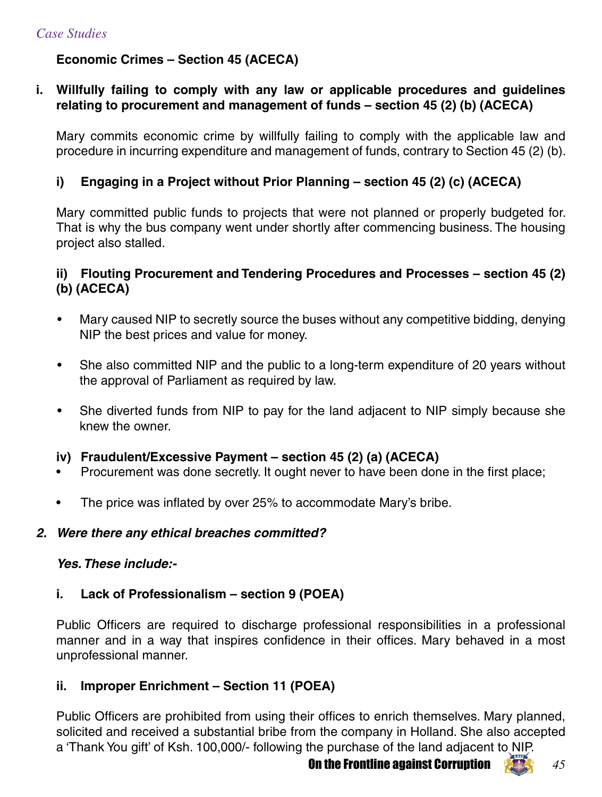# **Economic Crimes – Section 45 (ACECA)**

#### **i. Willfully failing to comply with any law or applicable procedures and guidelines relating to procurement and management of funds – section 45 (2) (b) (ACECA)**

Mary commits economic crime by willfully failing to comply with the applicable law and procedure in incurring expenditure and management of funds, contrary to Section 45 (2) (b).

# **i) Engaging in a Project without Prior Planning – section 45 (2) (c) (ACECA)**

Mary committed public funds to projects that were not planned or properly budgeted for. That is why the bus company went under shortly after commencing business. The housing project also stalled.

### **ii) Flouting Procurement and Tendering Procedures and Processes – section 45 (2) (b) (ACECA)**

- Mary caused NIP to secretly source the buses without any competitive bidding, denying NIP the best prices and value for money.
- She also committed NIP and the public to a long-term expenditure of 20 years without the approval of Parliament as required by law.
- She diverted funds from NIP to pay for the land adiacent to NIP simply because she knew the owner.
- **iv) Fraudulent/Excessive Payment section 45 (2) (a) (ACECA)**
- Procurement was done secretly. It ought never to have been done in the first place;
- The price was inflated by over 25% to accommodate Mary's bribe.

#### *2. Were there any ethical breaches committed?*

#### *Yes. These include:-*

#### **i. Lack of Professionalism – section 9 (POEA)**

Public Officers are required to discharge professional responsibilities in a professional manner and in a way that inspires confidence in their offices. Mary behaved in a most unprofessional manner.

#### **ii. Improper Enrichment – Section 11 (POEA)**

Public Officers are prohibited from using their offices to enrich themselves. Mary planned, solicited and received a substantial bribe from the company in Holland. She also accepted a 'Thank You gift' of Ksh. 100,000/- following the purchase of the land adjacent to NIP.

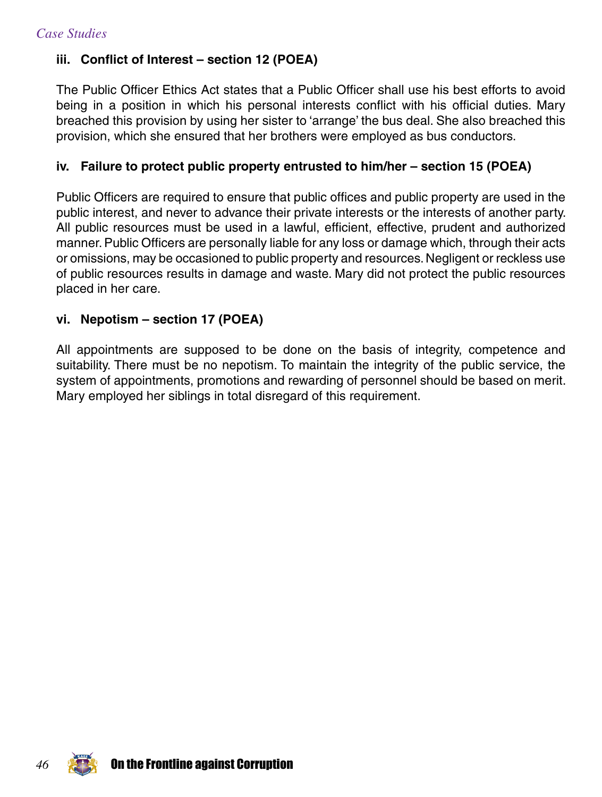#### **iii. Conflict of Interest – section 12 (POEA)**

The Public Officer Ethics Act states that a Public Officer shall use his best efforts to avoid being in a position in which his personal interests conflict with his official duties. Mary breached this provision by using her sister to 'arrange' the bus deal. She also breached this provision, which she ensured that her brothers were employed as bus conductors.

#### **iv. Failure to protect public property entrusted to him/her – section 15 (POEA)**

Public Officers are required to ensure that public offices and public property are used in the public interest, and never to advance their private interests or the interests of another party. All public resources must be used in a lawful, efficient, effective, prudent and authorized manner. Public Officers are personally liable for any loss or damage which, through their acts or omissions, may be occasioned to public property and resources. Negligent or reckless use of public resources results in damage and waste. Mary did not protect the public resources placed in her care.

#### **vi. Nepotism – section 17 (POEA)**

All appointments are supposed to be done on the basis of integrity, competence and suitability. There must be no nepotism. To maintain the integrity of the public service, the system of appointments, promotions and rewarding of personnel should be based on merit. Mary employed her siblings in total disregard of this requirement.

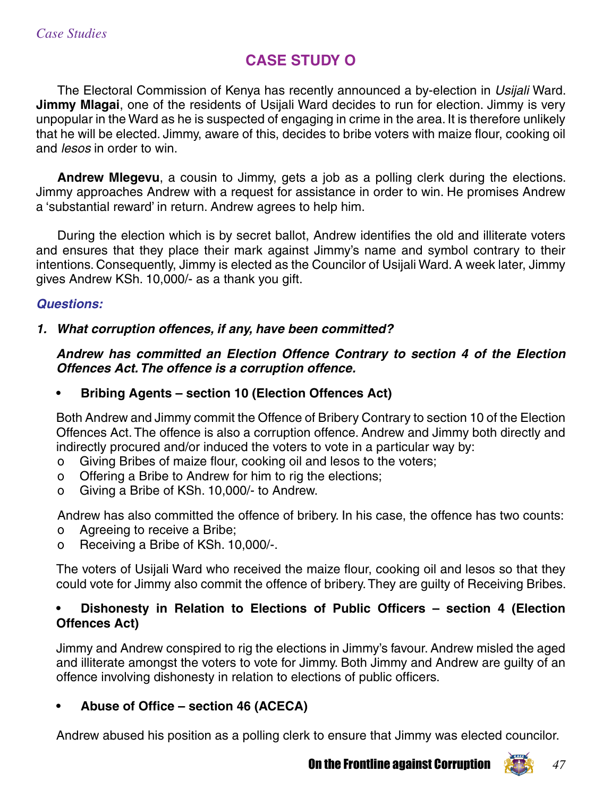# **CASE STUDY O**

The Electoral Commission of Kenya has recently announced a by-election in *Usijali* Ward. **Jimmy Mlagai**, one of the residents of Usijali Ward decides to run for election. Jimmy is very unpopular in the Ward as he is suspected of engaging in crime in the area. It is therefore unlikely that he will be elected. Jimmy, aware of this, decides to bribe voters with maize flour, cooking oil and *lesos* in order to win.

**Andrew Mlegevu**, a cousin to Jimmy, gets a job as a polling clerk during the elections. Jimmy approaches Andrew with a request for assistance in order to win. He promises Andrew a 'substantial reward' in return. Andrew agrees to help him.

During the election which is by secret ballot, Andrew identifies the old and illiterate voters and ensures that they place their mark against Jimmy's name and symbol contrary to their intentions. Consequently, Jimmy is elected as the Councilor of Usijali Ward. A week later, Jimmy gives Andrew KSh. 10,000/- as a thank you gift.

#### *Questions:*

#### *1. What corruption offences, if any, have been committed?*

*Andrew has committed an Election Offence Contrary to section 4 of the Election Offences Act. The offence is a corruption offence.*

**• Bribing Agents – section 10 (Election Offences Act)**

Both Andrew and Jimmy commit the Offence of Bribery Contrary to section 10 of the Election Offences Act. The offence is also a corruption offence. Andrew and Jimmy both directly and indirectly procured and/or induced the voters to vote in a particular way by:

- o Giving Bribes of maize flour, cooking oil and lesos to the voters;
- o Offering a Bribe to Andrew for him to rig the elections;
- o Giving a Bribe of KSh. 10,000/- to Andrew.

Andrew has also committed the offence of bribery. In his case, the offence has two counts: o Agreeing to receive a Bribe;

 o Receiving a Bribe of KSh. 10,000/-.

The voters of Usijali Ward who received the maize flour, cooking oil and lesos so that they could vote for Jimmy also commit the offence of bribery. They are guilty of Receiving Bribes.

#### **• Dishonesty in Relation to Elections of Public Officers – section 4 (Election Offences Act)**

Jimmy and Andrew conspired to rig the elections in Jimmy's favour. Andrew misled the aged and illiterate amongst the voters to vote for Jimmy. Both Jimmy and Andrew are guilty of an offence involving dishonesty in relation to elections of public officers.

#### **• Abuse of Office – section 46 (ACECA)**

Andrew abused his position as a polling clerk to ensure that Jimmy was elected councilor.

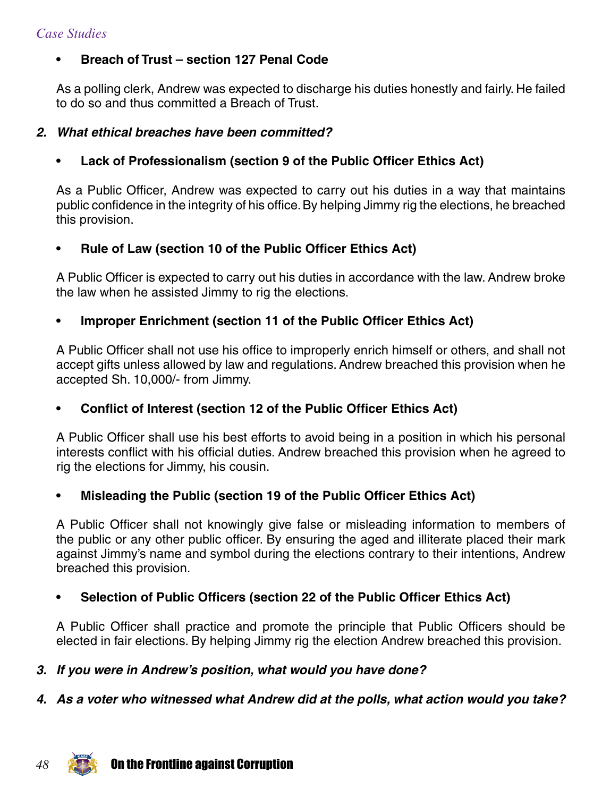# **• Breach of Trust – section 127 Penal Code**

As a polling clerk, Andrew was expected to discharge his duties honestly and fairly. He failed to do so and thus committed a Breach of Trust.

#### *2. What ethical breaches have been committed?*

### **• Lack of Professionalism (section 9 of the Public Officer Ethics Act)**

As a Public Officer, Andrew was expected to carry out his duties in a way that maintains public confidence in the integrity of his office. By helping Jimmy rig the elections, he breached this provision.

### **• Rule of Law (section 10 of the Public Officer Ethics Act)**

A Public Officer is expected to carry out his duties in accordance with the law. Andrew broke the law when he assisted Jimmy to rig the elections.

#### **lmproper** Enrichment (section 11 of the Public Officer Ethics Act)

A Public Officer shall not use his office to improperly enrich himself or others, and shall not accept gifts unless allowed by law and regulations. Andrew breached this provision when he accepted Sh. 10,000/- from Jimmy.

#### **• Conflict of Interest (section 12 of the Public Officer Ethics Act)**

A Public Officer shall use his best efforts to avoid being in a position in which his personal interests conflict with his official duties. Andrew breached this provision when he agreed to rig the elections for Jimmy, his cousin.

#### **• Misleading the Public (section 19 of the Public Officer Ethics Act)**

A Public Officer shall not knowingly give false or misleading information to members of the public or any other public officer. By ensuring the aged and illiterate placed their mark against Jimmy's name and symbol during the elections contrary to their intentions, Andrew breached this provision.

#### **Selection of Public Officers (section 22 of the Public Officer Ethics Act)**

A Public Officer shall practice and promote the principle that Public Officers should be elected in fair elections. By helping Jimmy rig the election Andrew breached this provision.

#### *3. If you were in Andrew's position, what would you have done?*

# *4. As a voter who witnessed what Andrew did at the polls, what action would you take?*

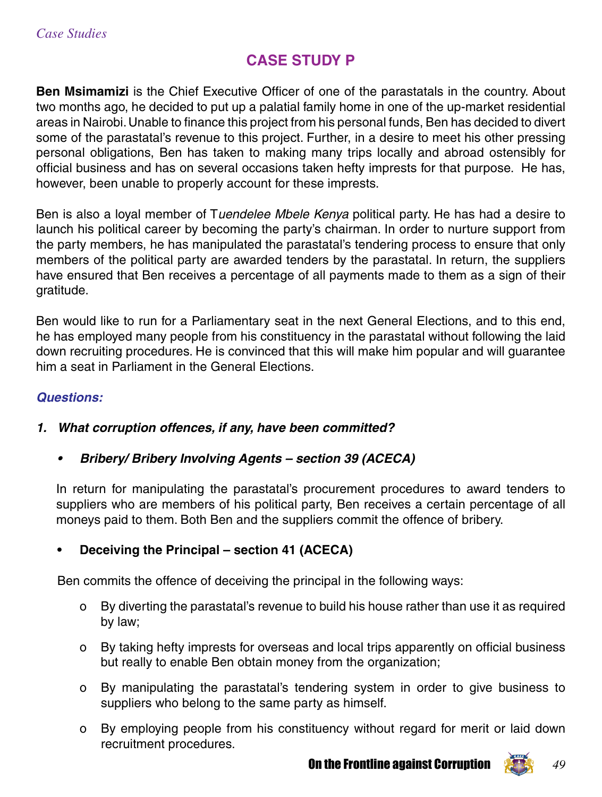# **CASE STUDY P**

**Ben Msimamizi** is the Chief Executive Officer of one of the parastatals in the country. About two months ago, he decided to put up a palatial family home in one of the up-market residential areas in Nairobi. Unable to finance this project from his personal funds, Ben has decided to divert some of the parastatal's revenue to this project. Further, in a desire to meet his other pressing personal obligations, Ben has taken to making many trips locally and abroad ostensibly for official business and has on several occasions taken hefty imprests for that purpose. He has, however, been unable to properly account for these imprests.

Ben is also a loyal member of T*uendelee Mbele Kenya* political party. He has had a desire to launch his political career by becoming the party's chairman. In order to nurture support from the party members, he has manipulated the parastatal's tendering process to ensure that only members of the political party are awarded tenders by the parastatal. In return, the suppliers have ensured that Ben receives a percentage of all payments made to them as a sign of their gratitude.

Ben would like to run for a Parliamentary seat in the next General Elections, and to this end, he has employed many people from his constituency in the parastatal without following the laid down recruiting procedures. He is convinced that this will make him popular and will guarantee him a seat in Parliament in the General Elections.

#### *Questions:*

- *1. What corruption offences, if any, have been committed?*
	- **• Bribery/ Bribery Involving Agents – section 39 (ACECA)**

In return for manipulating the parastatal's procurement procedures to award tenders to suppliers who are members of his political party, Ben receives a certain percentage of all moneys paid to them. Both Ben and the suppliers commit the offence of bribery.

#### **Deceiving the Principal – section 41 (ACECA)**

Ben commits the offence of deceiving the principal in the following ways:

- o By diverting the parastatal's revenue to build his house rather than use it as required by law;
- o By taking hefty imprests for overseas and local trips apparently on official business but really to enable Ben obtain money from the organization;
- o By manipulating the parastatal's tendering system in order to give business to suppliers who belong to the same party as himself.
- o By employing people from his constituency without regard for merit or laid down recruitment procedures.

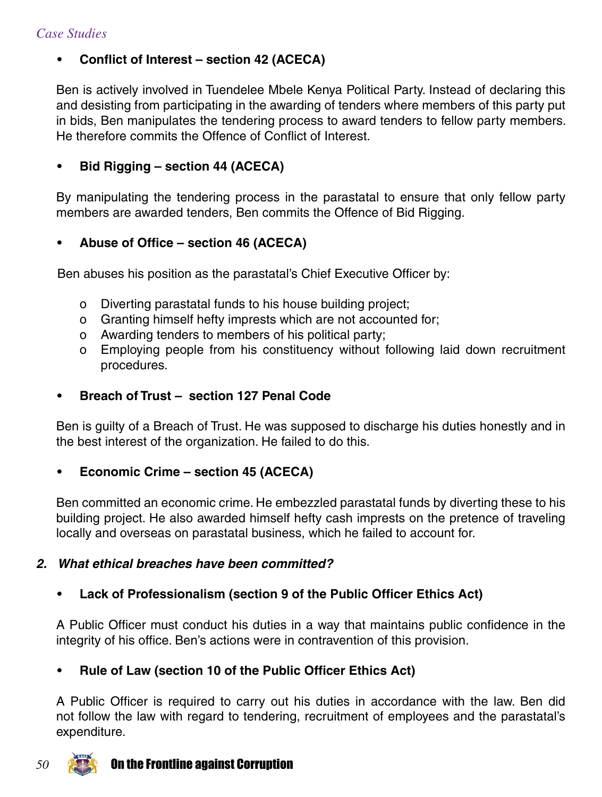# **Conflict of Interest – section 42 (ACECA)**

Ben is actively involved in Tuendelee Mbele Kenya Political Party. Instead of declaring this and desisting from participating in the awarding of tenders where members of this party put in bids, Ben manipulates the tendering process to award tenders to fellow party members. He therefore commits the Offence of Conflict of Interest.

#### **• Bid Rigging – section 44 (ACECA)**

By manipulating the tendering process in the parastatal to ensure that only fellow party members are awarded tenders, Ben commits the Offence of Bid Rigging.

#### **• Abuse of Office – section 46 (ACECA)**

Ben abuses his position as the parastatal's Chief Executive Officer by:

- o Diverting parastatal funds to his house building project;
- o Granting himself hefty imprests which are not accounted for;
- o Awarding tenders to members of his political party;
- o Employing people from his constituency without following laid down recruitment procedures.

#### **• Breach of Trust – section 127 Penal Code**

Ben is guilty of a Breach of Trust. He was supposed to discharge his duties honestly and in the best interest of the organization. He failed to do this.

#### **Economic Crime – section 45 (ACECA)**

Ben committed an economic crime. He embezzled parastatal funds by diverting these to his building project. He also awarded himself hefty cash imprests on the pretence of traveling locally and overseas on parastatal business, which he failed to account for.

#### *2. What ethical breaches have been committed?*

#### **• Lack of Professionalism (section 9 of the Public Officer Ethics Act)**

A Public Officer must conduct his duties in a way that maintains public confidence in the integrity of his office. Ben's actions were in contravention of this provision.

#### **• Rule of Law (section 10 of the Public Officer Ethics Act)**

A Public Officer is required to carry out his duties in accordance with the law. Ben did not follow the law with regard to tendering, recruitment of employees and the parastatal's expenditure.

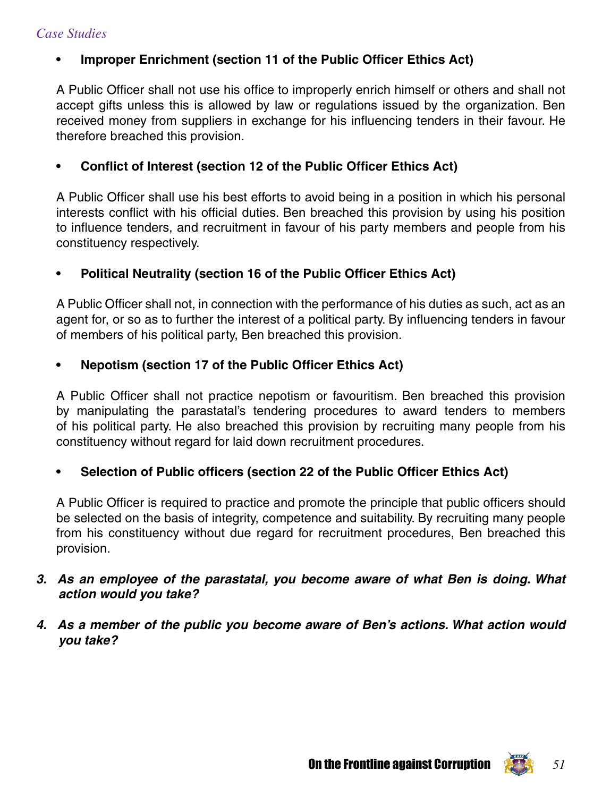# **lmproper** Enrichment (section 11 of the Public Officer Ethics Act)

A Public Officer shall not use his office to improperly enrich himself or others and shall not accept gifts unless this is allowed by law or regulations issued by the organization. Ben received money from suppliers in exchange for his influencing tenders in their favour. He therefore breached this provision.

#### **• Conflict of Interest (section 12 of the Public Officer Ethics Act)**

A Public Officer shall use his best efforts to avoid being in a position in which his personal interests conflict with his official duties. Ben breached this provision by using his position to influence tenders, and recruitment in favour of his party members and people from his constituency respectively.

### **• Political Neutrality (section 16 of the Public Officer Ethics Act)**

A Public Officer shall not, in connection with the performance of his duties as such, act as an agent for, or so as to further the interest of a political party. By influencing tenders in favour of members of his political party, Ben breached this provision.

#### **Nepotism (section 17 of the Public Officer Ethics Act)**

A Public Officer shall not practice nepotism or favouritism. Ben breached this provision by manipulating the parastatal's tendering procedures to award tenders to members of his political party. He also breached this provision by recruiting many people from his constituency without regard for laid down recruitment procedures.

#### **Selection of Public officers (section 22 of the Public Officer Ethics Act)**

A Public Officer is required to practice and promote the principle that public officers should be selected on the basis of integrity, competence and suitability. By recruiting many people from his constituency without due regard for recruitment procedures, Ben breached this provision.

#### *3. As an employee of the parastatal, you become aware of what Ben is doing. What action would you take?*

*4. As a member of the public you become aware of Ben's actions. What action would you take?*

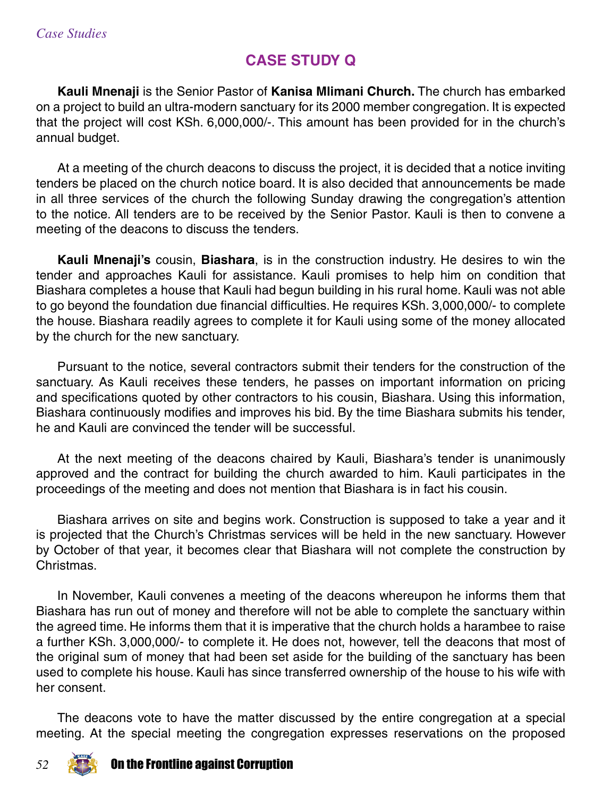# **CASE STUDY Q**

**Kauli Mnenaji** is the Senior Pastor of **Kanisa Mlimani Church.** The church has embarked on a project to build an ultra-modern sanctuary for its 2000 member congregation. It is expected that the project will cost KSh. 6,000,000/-. This amount has been provided for in the church's annual budget.

At a meeting of the church deacons to discuss the project, it is decided that a notice inviting tenders be placed on the church notice board. It is also decided that announcements be made in all three services of the church the following Sunday drawing the congregation's attention to the notice. All tenders are to be received by the Senior Pastor. Kauli is then to convene a meeting of the deacons to discuss the tenders.

**Kauli Mnenaji's** cousin, **Biashara**, is in the construction industry. He desires to win the tender and approaches Kauli for assistance. Kauli promises to help him on condition that Biashara completes a house that Kauli had begun building in his rural home. Kauli was not able to go beyond the foundation due financial difficulties. He requires KSh. 3,000,000/- to complete the house. Biashara readily agrees to complete it for Kauli using some of the money allocated by the church for the new sanctuary.

Pursuant to the notice, several contractors submit their tenders for the construction of the sanctuary. As Kauli receives these tenders, he passes on important information on pricing and specifications quoted by other contractors to his cousin, Biashara. Using this information, Biashara continuously modifies and improves his bid. By the time Biashara submits his tender, he and Kauli are convinced the tender will be successful.

At the next meeting of the deacons chaired by Kauli, Biashara's tender is unanimously approved and the contract for building the church awarded to him. Kauli participates in the proceedings of the meeting and does not mention that Biashara is in fact his cousin.

Biashara arrives on site and begins work. Construction is supposed to take a year and it is projected that the Church's Christmas services will be held in the new sanctuary. However by October of that year, it becomes clear that Biashara will not complete the construction by Christmas.

In November, Kauli convenes a meeting of the deacons whereupon he informs them that Biashara has run out of money and therefore will not be able to complete the sanctuary within the agreed time. He informs them that it is imperative that the church holds a harambee to raise a further KSh. 3,000,000/- to complete it. He does not, however, tell the deacons that most of the original sum of money that had been set aside for the building of the sanctuary has been used to complete his house. Kauli has since transferred ownership of the house to his wife with her consent.

The deacons vote to have the matter discussed by the entire congregation at a special meeting. At the special meeting the congregation expresses reservations on the proposed

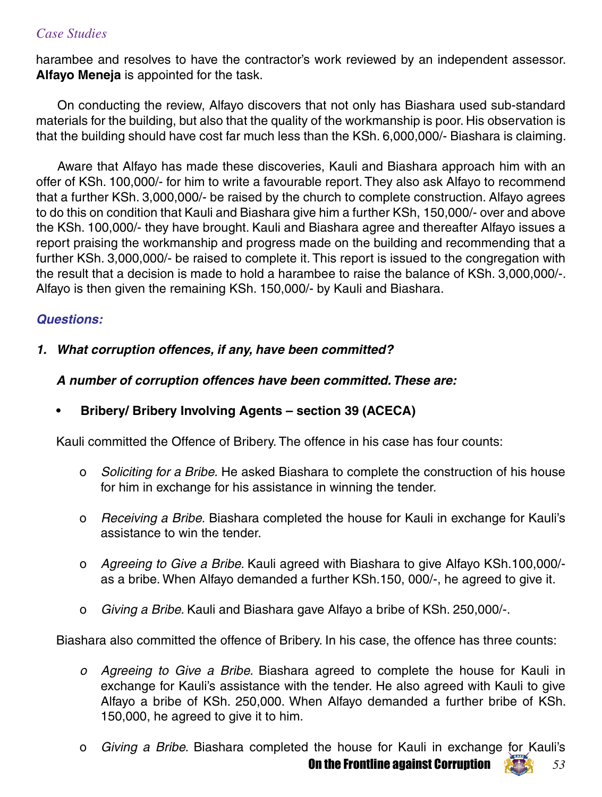harambee and resolves to have the contractor's work reviewed by an independent assessor. **Alfayo Meneja** is appointed for the task.

On conducting the review, Alfayo discovers that not only has Biashara used sub-standard materials for the building, but also that the quality of the workmanship is poor. His observation is that the building should have cost far much less than the KSh. 6,000,000/- Biashara is claiming.

Aware that Alfayo has made these discoveries, Kauli and Biashara approach him with an offer of KSh. 100,000/- for him to write a favourable report. They also ask Alfayo to recommend that a further KSh. 3,000,000/- be raised by the church to complete construction. Alfayo agrees to do this on condition that Kauli and Biashara give him a further KSh, 150,000/- over and above the KSh. 100,000/- they have brought. Kauli and Biashara agree and thereafter Alfayo issues a report praising the workmanship and progress made on the building and recommending that a further KSh. 3,000,000/- be raised to complete it. This report is issued to the congregation with the result that a decision is made to hold a harambee to raise the balance of KSh. 3,000,000/-. Alfayo is then given the remaining KSh. 150,000/- by Kauli and Biashara.

### *Questions:*

#### *1. What corruption offences, if any, have been committed?*

#### *A number of corruption offences have been committed. These are:*

# **• Bribery/ Bribery Involving Agents – section 39 (ACECA)**

Kauli committed the Offence of Bribery. The offence in his case has four counts:

- o *Soliciting for a Bribe.* He asked Biashara to complete the construction of his house for him in exchange for his assistance in winning the tender.
- o *Receiving a Bribe.* Biashara completed the house for Kauli in exchange for Kauli's assistance to win the tender.
- o *Agreeing to Give a Bribe.* Kauli agreed with Biashara to give Alfayo KSh.100,000/ as a bribe. When Alfayo demanded a further KSh.150, 000/-, he agreed to give it.
- o *Giving a Bribe.* Kauli and Biashara gave Alfayo a bribe of KSh. 250,000/-.

Biashara also committed the offence of Bribery. In his case, the offence has three counts:

- *o Agreeing to Give a Bribe.* Biashara agreed to complete the house for Kauli in exchange for Kauli's assistance with the tender. He also agreed with Kauli to give Alfayo a bribe of KSh. 250,000. When Alfayo demanded a further bribe of KSh. 150,000, he agreed to give it to him.
- On the Frontline against Corruption *53* o *Giving a Bribe.* Biashara completed the house for Kauli in exchange for Kauli's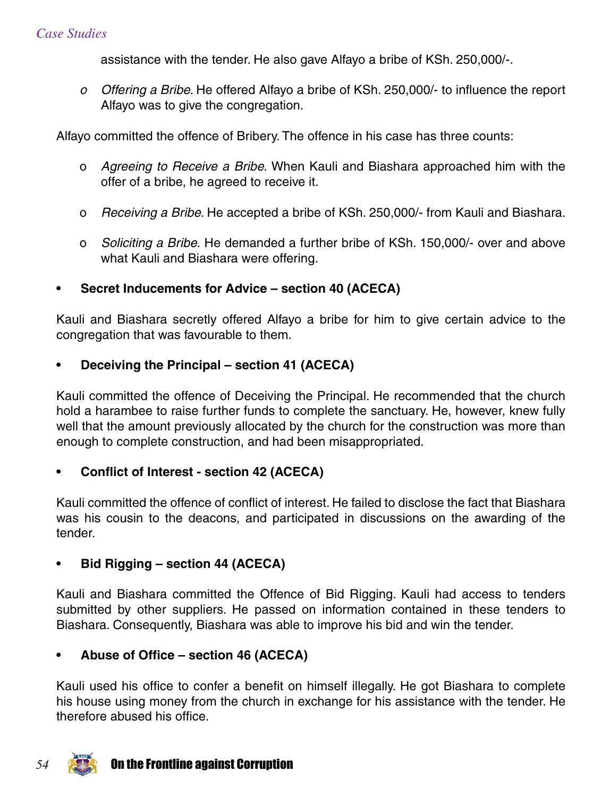assistance with the tender. He also gave Alfayo a bribe of KSh. 250,000/-.

 *o Offering a Bribe.* He offered Alfayo a bribe of KSh. 250,000/- to influence the report Alfayo was to give the congregation.

Alfayo committed the offence of Bribery. The offence in his case has three counts:

- o *Agreeing to Receive a Bribe.* When Kauli and Biashara approached him with the offer of a bribe, he agreed to receive it.
- o *Receiving a Bribe.* He accepted a bribe of KSh. 250,000/- from Kauli and Biashara.
- o *Soliciting a Bribe.* He demanded a further bribe of KSh. 150,000/- over and above what Kauli and Biashara were offering.

# **Secret Inducements for Advice – section 40 (ACECA)**

Kauli and Biashara secretly offered Alfayo a bribe for him to give certain advice to the congregation that was favourable to them.

# **Deceiving the Principal – section 41 (ACECA)**

Kauli committed the offence of Deceiving the Principal. He recommended that the church hold a harambee to raise further funds to complete the sanctuary. He, however, knew fully well that the amount previously allocated by the church for the construction was more than enough to complete construction, and had been misappropriated.

# **Conflict of Interest - section 42 (ACECA)**

Kauli committed the offence of conflict of interest. He failed to disclose the fact that Biashara was his cousin to the deacons, and participated in discussions on the awarding of the tender.

# **• Bid Rigging – section 44 (ACECA)**

Kauli and Biashara committed the Offence of Bid Rigging. Kauli had access to tenders submitted by other suppliers. He passed on information contained in these tenders to Biashara. Consequently, Biashara was able to improve his bid and win the tender.

# **• Abuse of Office – section 46 (ACECA)**

Kauli used his office to confer a benefit on himself illegally. He got Biashara to complete his house using money from the church in exchange for his assistance with the tender. He therefore abused his office.

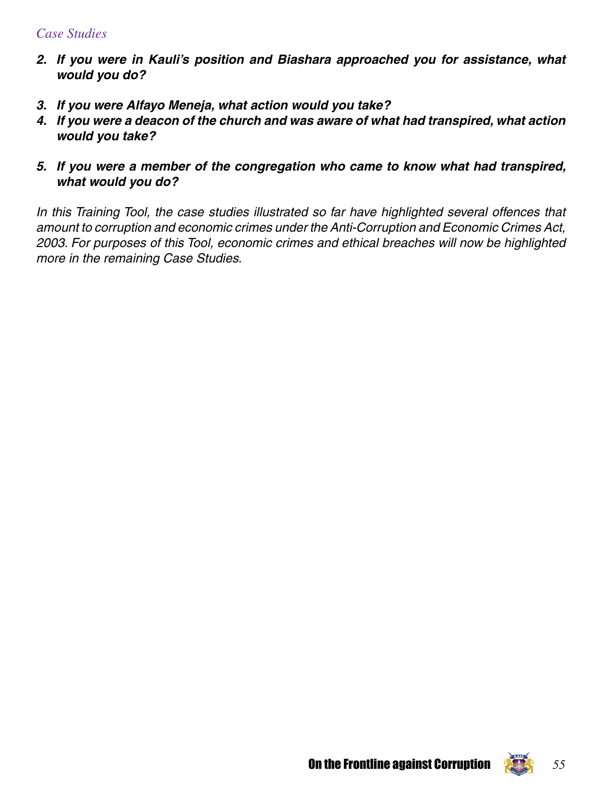- *2. If you were in Kauli's position and Biashara approached you for assistance, what would you do?*
- *3. If you were Alfayo Meneja, what action would you take?*
- *4. If you were a deacon of the church and was aware of what had transpired, what action would you take?*
- *5. If you were a member of the congregation who came to know what had transpired, what would you do?*

*In this Training Tool, the case studies illustrated so far have highlighted several offences that amount to corruption and economic crimes under the Anti-Corruption and Economic Crimes Act, 2003. For purposes of this Tool, economic crimes and ethical breaches will now be highlighted more in the remaining Case Studies.*



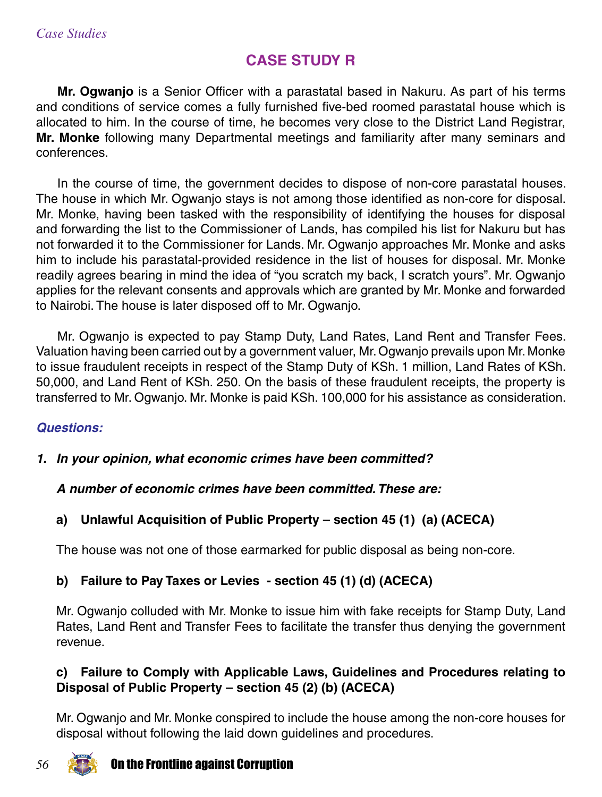# **CASE STUDY R**

**Mr. Ogwanjo** is a Senior Officer with a parastatal based in Nakuru. As part of his terms and conditions of service comes a fully furnished five-bed roomed parastatal house which is allocated to him. In the course of time, he becomes very close to the District Land Registrar, **Mr. Monke** following many Departmental meetings and familiarity after many seminars and conferences.

In the course of time, the government decides to dispose of non-core parastatal houses. The house in which Mr. Ogwanjo stays is not among those identified as non-core for disposal. Mr. Monke, having been tasked with the responsibility of identifying the houses for disposal and forwarding the list to the Commissioner of Lands, has compiled his list for Nakuru but has not forwarded it to the Commissioner for Lands. Mr. Ogwanjo approaches Mr. Monke and asks him to include his parastatal-provided residence in the list of houses for disposal. Mr. Monke readily agrees bearing in mind the idea of "you scratch my back, I scratch yours". Mr. Ogwanjo applies for the relevant consents and approvals which are granted by Mr. Monke and forwarded to Nairobi. The house is later disposed off to Mr. Ogwanjo.

Mr. Ogwanjo is expected to pay Stamp Duty, Land Rates, Land Rent and Transfer Fees. Valuation having been carried out by a government valuer, Mr. Ogwanjo prevails upon Mr. Monke to issue fraudulent receipts in respect of the Stamp Duty of KSh. 1 million, Land Rates of KSh. 50,000, and Land Rent of KSh. 250. On the basis of these fraudulent receipts, the property is transferred to Mr. Ogwanjo. Mr. Monke is paid KSh. 100,000 for his assistance as consideration.

#### *Questions:*

#### *1. In your opinion, what economic crimes have been committed?*

#### *A number of economic crimes have been committed. These are:*

# **a) Unlawful Acquisition of Public Property – section 45 (1) (a) (ACECA)**

The house was not one of those earmarked for public disposal as being non-core.

# **b) Failure to Pay Taxes or Levies - section 45 (1) (d) (ACECA)**

Mr. Ogwanjo colluded with Mr. Monke to issue him with fake receipts for Stamp Duty, Land Rates, Land Rent and Transfer Fees to facilitate the transfer thus denying the government revenue.

#### **c) Failure to Comply with Applicable Laws, Guidelines and Procedures relating to Disposal of Public Property – section 45 (2) (b) (ACECA)**

Mr. Ogwanjo and Mr. Monke conspired to include the house among the non-core houses for disposal without following the laid down guidelines and procedures.

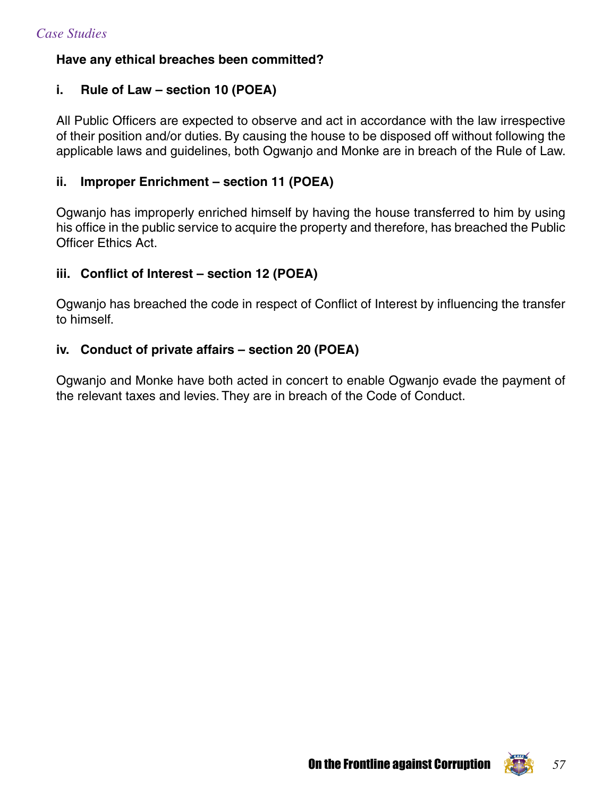#### **Have any ethical breaches been committed?**

### **i. Rule of Law – section 10 (POEA)**

All Public Officers are expected to observe and act in accordance with the law irrespective of their position and/or duties. By causing the house to be disposed off without following the applicable laws and guidelines, both Ogwanjo and Monke are in breach of the Rule of Law.

#### **ii. Improper Enrichment – section 11 (POEA)**

Ogwanjo has improperly enriched himself by having the house transferred to him by using his office in the public service to acquire the property and therefore, has breached the Public Officer Ethics Act.

#### **iii. Conflict of Interest – section 12 (POEA)**

Ogwanjo has breached the code in respect of Conflict of Interest by influencing the transfer to himself.

#### **iv. Conduct of private affairs – section 20 (POEA)**

Ogwanjo and Monke have both acted in concert to enable Ogwanjo evade the payment of the relevant taxes and levies. They are in breach of the Code of Conduct.



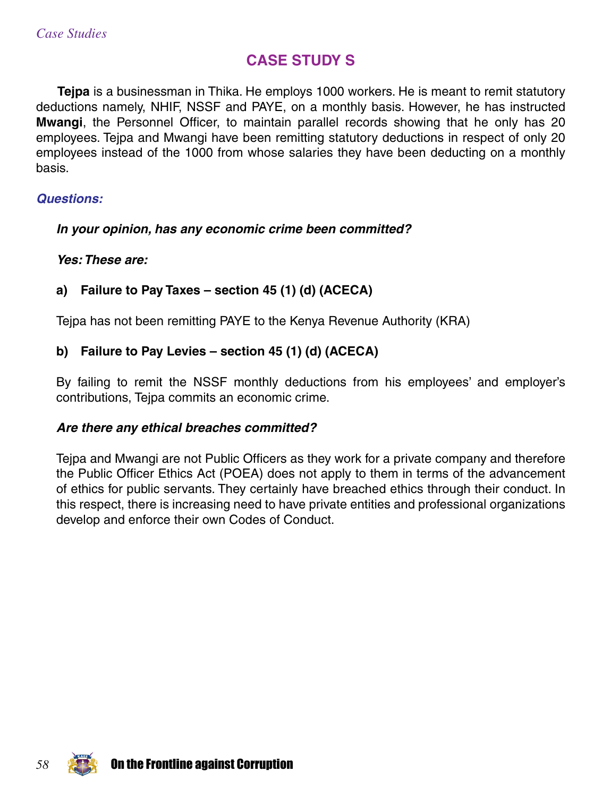# **CASE STUDY S**

**Tejpa** is a businessman in Thika. He employs 1000 workers. He is meant to remit statutory deductions namely, NHIF, NSSF and PAYE, on a monthly basis. However, he has instructed **Mwangi**, the Personnel Officer, to maintain parallel records showing that he only has 20 employees. Tejpa and Mwangi have been remitting statutory deductions in respect of only 20 employees instead of the 1000 from whose salaries they have been deducting on a monthly basis.

#### *Questions:*

#### *In your opinion, has any economic crime been committed?*

#### *Yes: These are:*

### **a) Failure to Pay Taxes – section 45 (1) (d) (ACECA)**

Tejpa has not been remitting PAYE to the Kenya Revenue Authority (KRA)

### **b) Failure to Pay Levies – section 45 (1) (d) (ACECA)**

By failing to remit the NSSF monthly deductions from his employees' and employer's contributions, Tejpa commits an economic crime.

#### *Are there any ethical breaches committed?*

Tejpa and Mwangi are not Public Officers as they work for a private company and therefore the Public Officer Ethics Act (POEA) does not apply to them in terms of the advancement of ethics for public servants. They certainly have breached ethics through their conduct. In this respect, there is increasing need to have private entities and professional organizations develop and enforce their own Codes of Conduct.

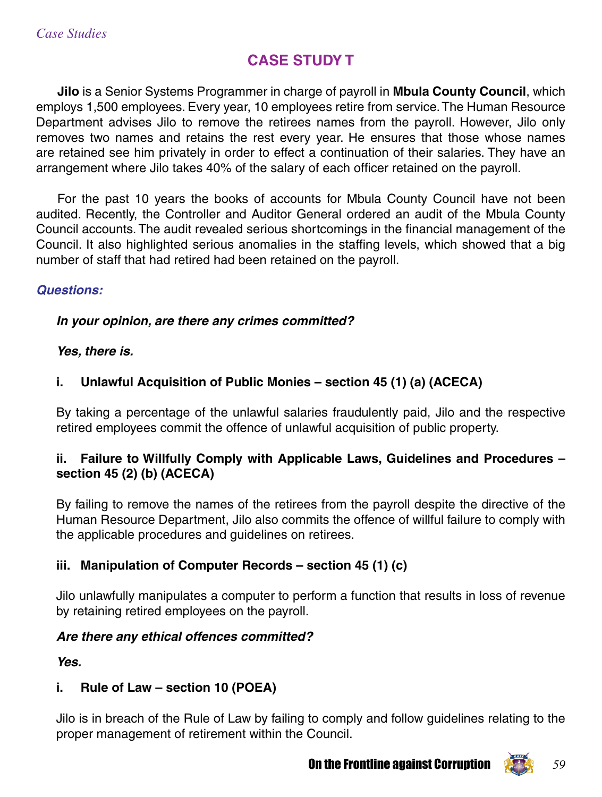# **CASE STUDY T**

**Jilo** is a Senior Systems Programmer in charge of payroll in **Mbula County Council**, which employs 1,500 employees. Every year, 10 employees retire from service. The Human Resource Department advises Jilo to remove the retirees names from the payroll. However, Jilo only removes two names and retains the rest every year. He ensures that those whose names are retained see him privately in order to effect a continuation of their salaries. They have an arrangement where Jilo takes 40% of the salary of each officer retained on the payroll.

For the past 10 years the books of accounts for Mbula County Council have not been audited. Recently, the Controller and Auditor General ordered an audit of the Mbula County Council accounts. The audit revealed serious shortcomings in the financial management of the Council. It also highlighted serious anomalies in the staffing levels, which showed that a big number of staff that had retired had been retained on the payroll.

#### *Questions:*

#### *In your opinion, are there any crimes committed?*

#### *Yes, there is.*

# **i. Unlawful Acquisition of Public Monies – section 45 (1) (a) (ACECA)**

By taking a percentage of the unlawful salaries fraudulently paid, Jilo and the respective retired employees commit the offence of unlawful acquisition of public property.

#### **ii. Failure to Willfully Comply with Applicable Laws, Guidelines and Procedures – section 45 (2) (b) (ACECA)**

By failing to remove the names of the retirees from the payroll despite the directive of the Human Resource Department, Jilo also commits the offence of willful failure to comply with the applicable procedures and guidelines on retirees.

#### **iii. Manipulation of Computer Records – section 45 (1) (c)**

Jilo unlawfully manipulates a computer to perform a function that results in loss of revenue by retaining retired employees on the payroll.

#### *Are there any ethical offences committed?*

*Yes.*

#### **i. Rule of Law – section 10 (POEA)**

Jilo is in breach of the Rule of Law by failing to comply and follow guidelines relating to the proper management of retirement within the Council.

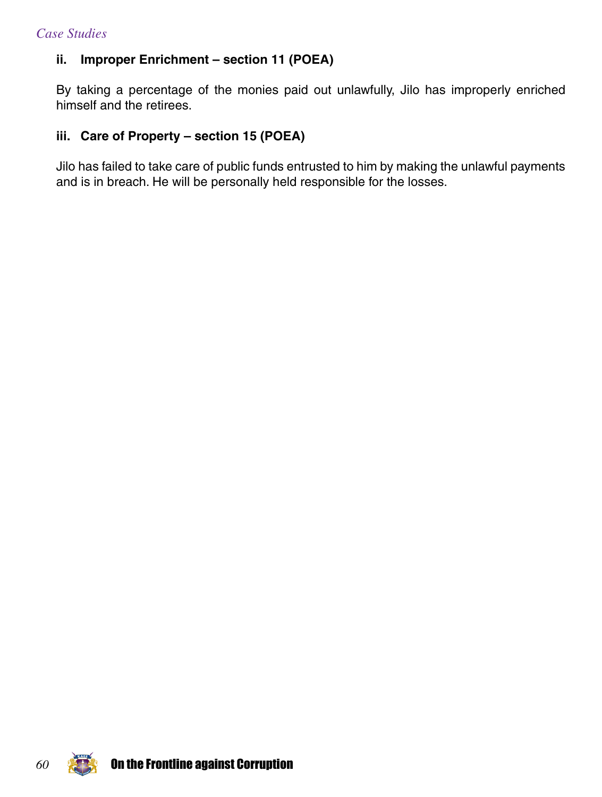## **ii. Improper Enrichment – section 11 (POEA)**

By taking a percentage of the monies paid out unlawfully, Jilo has improperly enriched himself and the retirees.

#### **iii. Care of Property – section 15 (POEA)**

Jilo has failed to take care of public funds entrusted to him by making the unlawful payments and is in breach. He will be personally held responsible for the losses.

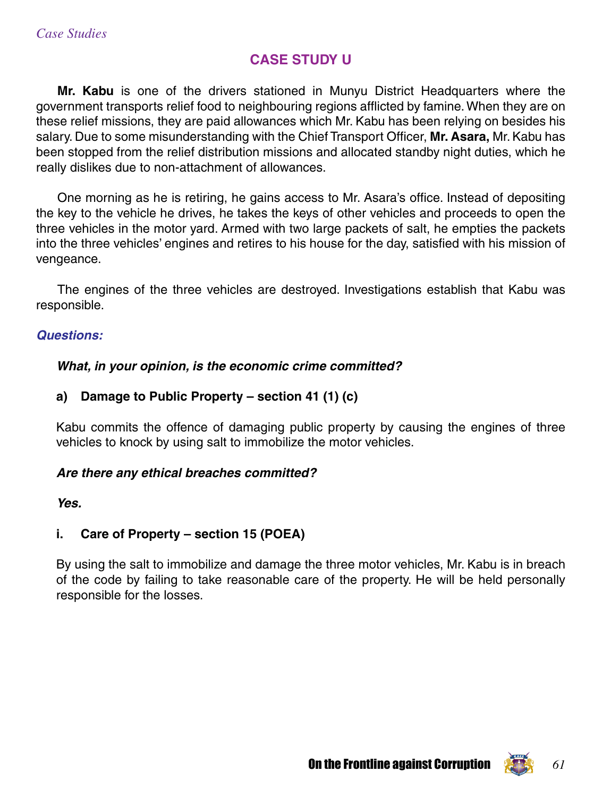# **CASE STUDY U**

**Mr. Kabu** is one of the drivers stationed in Munyu District Headquarters where the government transports relief food to neighbouring regions afflicted by famine. When they are on these relief missions, they are paid allowances which Mr. Kabu has been relying on besides his salary. Due to some misunderstanding with the Chief Transport Officer, **Mr. Asara,** Mr. Kabu has been stopped from the relief distribution missions and allocated standby night duties, which he really dislikes due to non-attachment of allowances.

One morning as he is retiring, he gains access to Mr. Asara's office. Instead of depositing the key to the vehicle he drives, he takes the keys of other vehicles and proceeds to open the three vehicles in the motor yard. Armed with two large packets of salt, he empties the packets into the three vehicles' engines and retires to his house for the day, satisfied with his mission of vengeance.

The engines of the three vehicles are destroyed. Investigations establish that Kabu was responsible.

#### *Questions:*

#### *What, in your opinion, is the economic crime committed?*

#### **a) Damage to Public Property – section 41 (1) (c)**

Kabu commits the offence of damaging public property by causing the engines of three vehicles to knock by using salt to immobilize the motor vehicles.

#### *Are there any ethical breaches committed?*

*Yes.*

# **i. Care of Property – section 15 (POEA)**

By using the salt to immobilize and damage the three motor vehicles, Mr. Kabu is in breach of the code by failing to take reasonable care of the property. He will be held personally responsible for the losses.

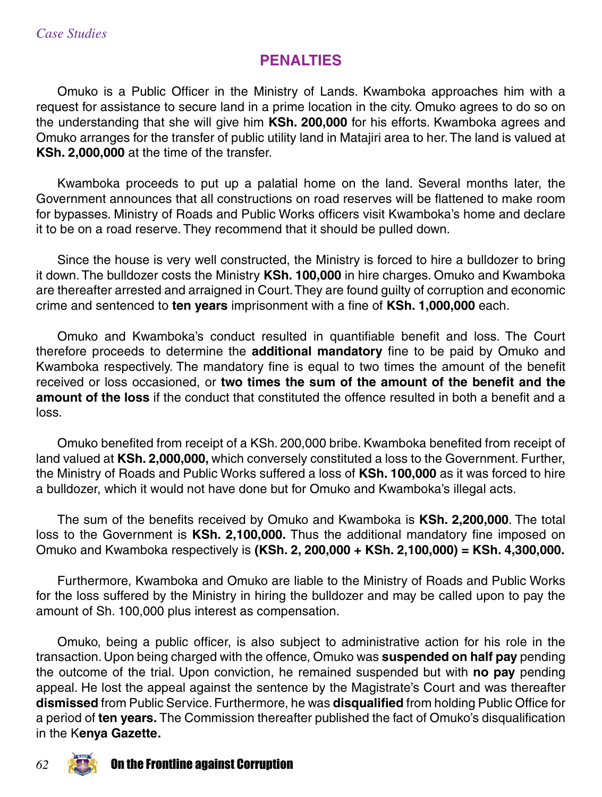# **PENALTIES**

Omuko is a Public Officer in the Ministry of Lands. Kwamboka approaches him with a request for assistance to secure land in a prime location in the city. Omuko agrees to do so on the understanding that she will give him **KSh. 200,000** for his efforts. Kwamboka agrees and Omuko arranges for the transfer of public utility land in Matajiri area to her. The land is valued at **KSh. 2,000,000** at the time of the transfer.

Kwamboka proceeds to put up a palatial home on the land. Several months later, the Government announces that all constructions on road reserves will be flattened to make room for bypasses. Ministry of Roads and Public Works officers visit Kwamboka's home and declare it to be on a road reserve. They recommend that it should be pulled down.

Since the house is very well constructed, the Ministry is forced to hire a bulldozer to bring it down. The bulldozer costs the Ministry **KSh. 100,000** in hire charges. Omuko and Kwamboka are thereafter arrested and arraigned in Court. They are found guilty of corruption and economic crime and sentenced to **ten years** imprisonment with a fine of **KSh. 1,000,000** each.

Omuko and Kwamboka's conduct resulted in quantifiable benefit and loss. The Court therefore proceeds to determine the **additional mandatory** fine to be paid by Omuko and Kwamboka respectively. The mandatory fine is equal to two times the amount of the benefit received or loss occasioned, or **two times the sum of the amount of the benefit and the amount of the loss** if the conduct that constituted the offence resulted in both a benefit and a loss.

Omuko benefited from receipt of a KSh. 200,000 bribe. Kwamboka benefited from receipt of land valued at **KSh. 2,000,000,** which conversely constituted a loss to the Government. Further, the Ministry of Roads and Public Works suffered a loss of **KSh. 100,000** as it was forced to hire a bulldozer, which it would not have done but for Omuko and Kwamboka's illegal acts.

The sum of the benefits received by Omuko and Kwamboka is **KSh. 2,200,000**. The total loss to the Government is **KSh. 2,100,000.** Thus the additional mandatory fine imposed on Omuko and Kwamboka respectively is **(KSh. 2, 200,000 + KSh. 2,100,000) = KSh. 4,300,000.** 

Furthermore, Kwamboka and Omuko are liable to the Ministry of Roads and Public Works for the loss suffered by the Ministry in hiring the bulldozer and may be called upon to pay the amount of Sh. 100,000 plus interest as compensation.

Omuko, being a public officer, is also subject to administrative action for his role in the transaction. Upon being charged with the offence, Omuko was **suspended on half pay** pending the outcome of the trial. Upon conviction, he remained suspended but with **no pay** pending appeal. He lost the appeal against the sentence by the Magistrate's Court and was thereafter **dismissed** from Public Service. Furthermore, he was **disqualified** from holding Public Office for a period of **ten years.** The Commission thereafter published the fact of Omuko's disqualification in the K**enya Gazette.**

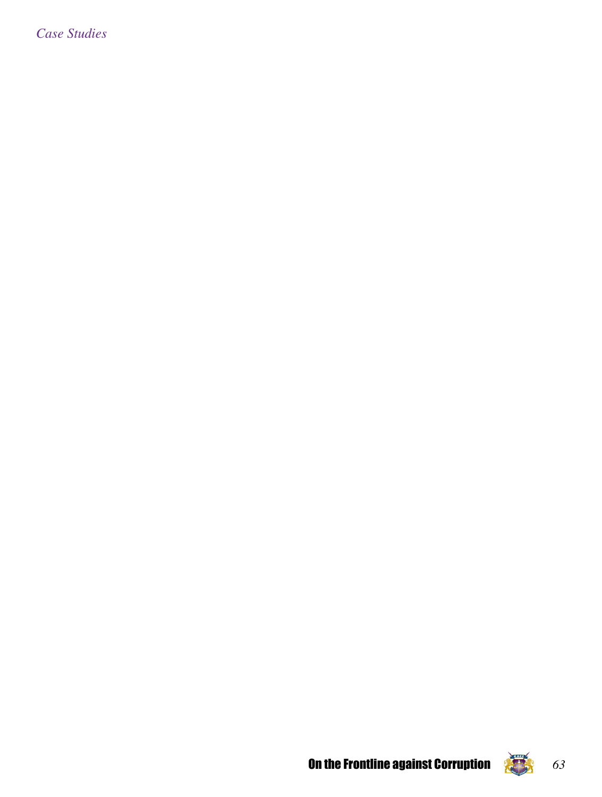